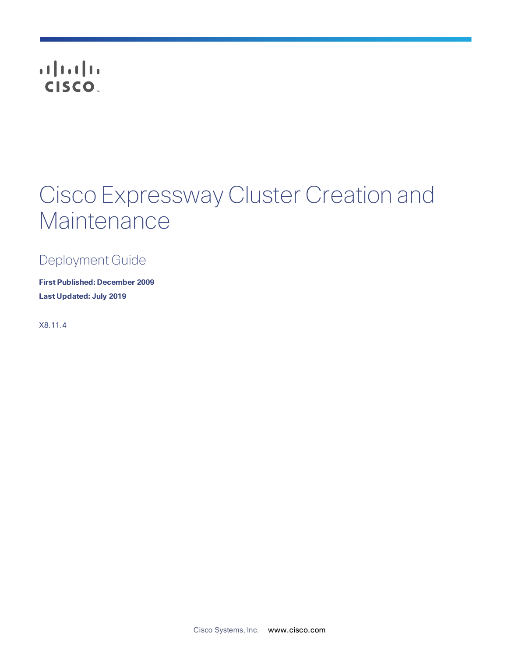# **CISCO**

# Cisco Expressway Cluster Creation and **Maintenance**

Deployment Guide

**First Published: December 2009 Last Updated: July 2019**

X8.11.4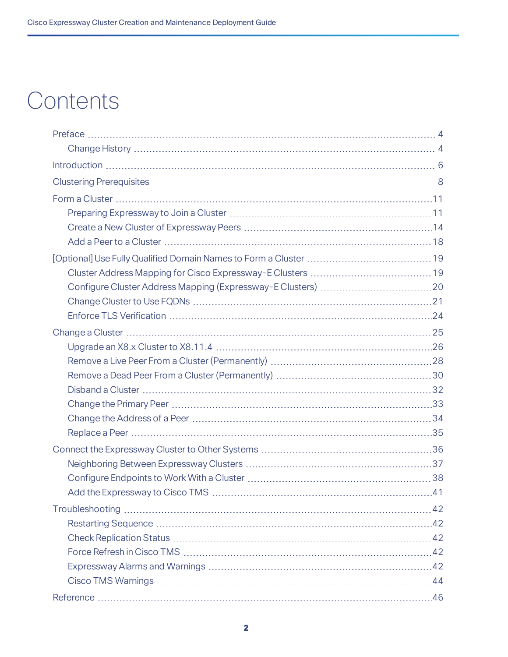# **Contents**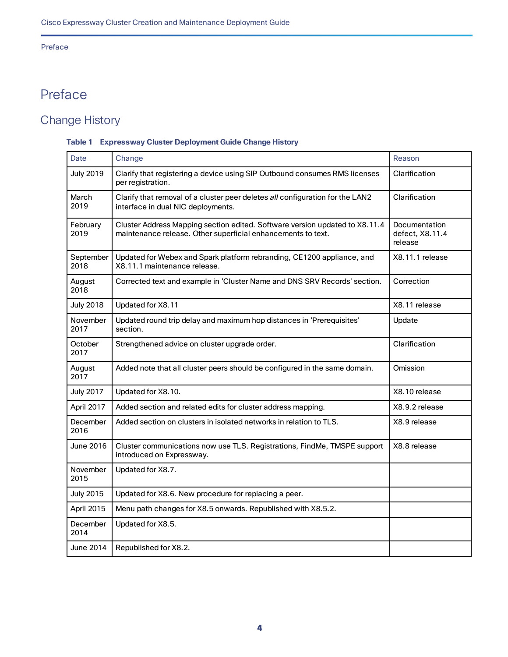### Preface

# <span id="page-3-0"></span>Preface

# <span id="page-3-1"></span>Change History

### **Table 1 Expressway Cluster Deployment Guide Change History**

| Date              | Change                                                                                                                                      | Reason                                      |
|-------------------|---------------------------------------------------------------------------------------------------------------------------------------------|---------------------------------------------|
| <b>July 2019</b>  | Clarify that registering a device using SIP Outbound consumes RMS licenses<br>per registration.                                             | Clarification                               |
| March<br>2019     | Clarify that removal of a cluster peer deletes all configuration for the LAN2<br>interface in dual NIC deployments.                         | Clarification                               |
| February<br>2019  | Cluster Address Mapping section edited. Software version updated to X8.11.4<br>maintenance release. Other superficial enhancements to text. | Documentation<br>defect, X8.11.4<br>release |
| September<br>2018 | Updated for Webex and Spark platform rebranding, CE1200 appliance, and<br>X8.11.1 maintenance release.                                      | X8.11.1 release                             |
| August<br>2018    | Corrected text and example in 'Cluster Name and DNS SRV Records' section.                                                                   | Correction                                  |
| <b>July 2018</b>  | Updated for X8.11                                                                                                                           | X8.11 release                               |
| November<br>2017  | Updated round trip delay and maximum hop distances in 'Prerequisites'<br>section.                                                           | Update                                      |
| October<br>2017   | Strengthened advice on cluster upgrade order.                                                                                               | Clarification                               |
| August<br>2017    | Added note that all cluster peers should be configured in the same domain.                                                                  | Omission                                    |
| <b>July 2017</b>  | Updated for X8.10.                                                                                                                          | X8.10 release                               |
| April 2017        | Added section and related edits for cluster address mapping.                                                                                | X8.9.2 release                              |
| December<br>2016  | Added section on clusters in isolated networks in relation to TLS.                                                                          | X8.9 release                                |
| <b>June 2016</b>  | Cluster communications now use TLS. Registrations, FindMe, TMSPE support<br>introduced on Expressway.                                       | X8.8 release                                |
| November<br>2015  | Updated for X8.7.                                                                                                                           |                                             |
| <b>July 2015</b>  | Updated for X8.6. New procedure for replacing a peer.                                                                                       |                                             |
| April 2015        | Menu path changes for X8.5 onwards. Republished with X8.5.2.                                                                                |                                             |
| December<br>2014  | Updated for X8.5.                                                                                                                           |                                             |
| June 2014         | Republished for X8.2.                                                                                                                       |                                             |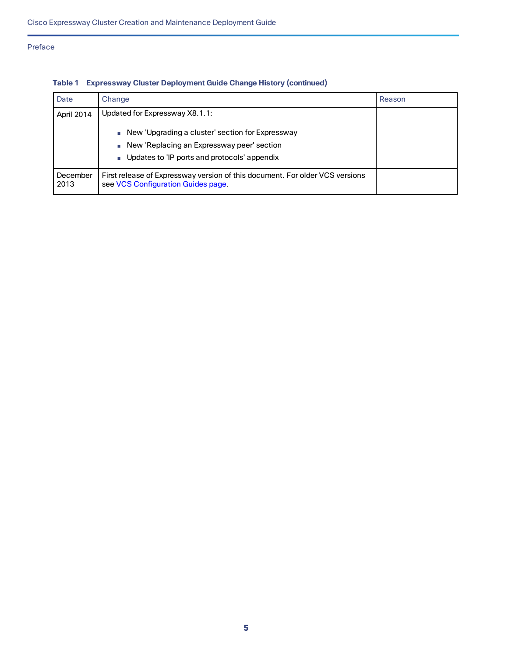### Preface

| Date             | Change                                                                                                             | Reason |
|------------------|--------------------------------------------------------------------------------------------------------------------|--------|
| April 2014       | Updated for Expressway X8.1.1:                                                                                     |        |
|                  | New 'Upgrading a cluster' section for Expressway<br>New 'Replacing an Expressway peer' section                     |        |
|                  | Updates to 'IP ports and protocols' appendix                                                                       |        |
| December<br>2013 | First release of Expressway version of this document. For older VCS versions<br>see VCS Configuration Guides page. |        |

# **Table 1 Expressway Cluster Deployment Guide Change History (continued)**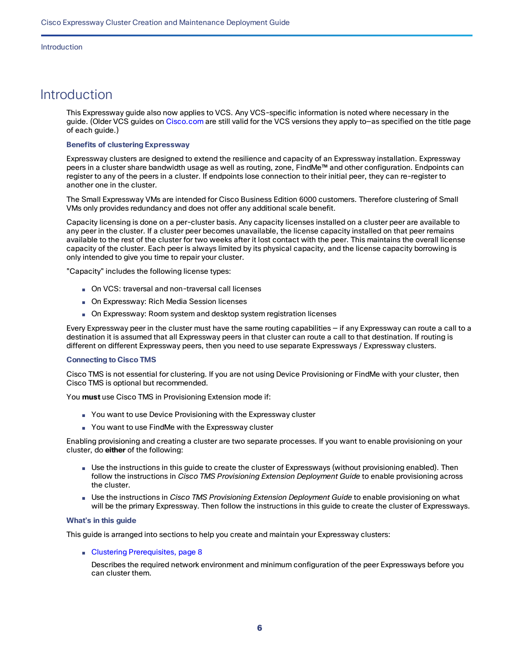#### Introduction

# <span id="page-5-0"></span>Introduction

This Expressway guide also now applies to VCS. Any VCS-specific information is noted where necessary in the guide. (Older VCS guides on [Cisco.com](http://www.cisco.com/c/en/us/support/unified-communications/telepresence-video-communication-server-vcs/tsd-products-support-series-home.html) are still valid for the VCS versions they apply to—as specified on the title page of each guide.)

#### **Benefits of clustering Expressway**

Expressway clusters are designed to extend the resilience and capacity of an Expressway installation. Expressway peers in a cluster share bandwidth usage as well as routing, zone, FindMe™ and other configuration. Endpoints can register to any of the peers in a cluster. If endpoints lose connection to their initial peer, they can re-register to another one in the cluster.

The Small Expressway VMs are intended for Cisco Business Edition 6000 customers. Therefore clustering of Small VMs only provides redundancy and does not offer any additional scale benefit.

Capacity licensing is done on a per-cluster basis. Any capacity licenses installed on a cluster peer are available to any peer in the cluster. If a cluster peer becomes unavailable, the license capacity installed on that peer remains available to the rest of the cluster for two weeks after it lost contact with the peer. This maintains the overall license capacity of the cluster. Each peer is always limited by its physical capacity, and the license capacity borrowing is only intended to give you time to repair your cluster.

"Capacity" includes the following license types:

- On VCS: traversal and non-traversal call licenses
- On Expressway: Rich Media Session licenses
- On Expressway: Room system and desktop system registration licenses

Every Expressway peer in the cluster must have the same routing capabilities — if any Expressway can route a call to a destination it is assumed that all Expressway peers in that cluster can route a call to that destination. If routing is different on different Expressway peers, then you need to use separate Expressways / Expressway clusters.

#### **Connecting to Cisco TMS**

Cisco TMS is not essential for clustering. If you are not using Device Provisioning or FindMe with your cluster, then Cisco TMS is optional but recommended.

You **must** use Cisco TMS in Provisioning Extension mode if:

- You want to use Device Provisioning with the Expressway cluster
- You want to use FindMe with the Expressway cluster

Enabling provisioning and creating a cluster are two separate processes. If you want to enable provisioning on your cluster, do **either** of the following:

- Use the instructions in this guide to create the cluster of Expressways (without provisioning enabled). Then follow the instructions in *Cisco TMS Provisioning Extension Deployment Guide* to enable provisioning across the cluster.
- Use the instructions in *Cisco TMS Provisioning Extension Deployment Guide* to enable provisioning on what will be the primary Expressway. Then follow the instructions in this guide to create the cluster of Expressways.

#### **What's in this guide**

This guide is arranged into sections to help you create and maintain your Expressway clusters:

■ Clustering [Prerequisites,](#page-7-0) page 8

Describes the required network environment and minimum configuration of the peer Expressways before you can cluster them.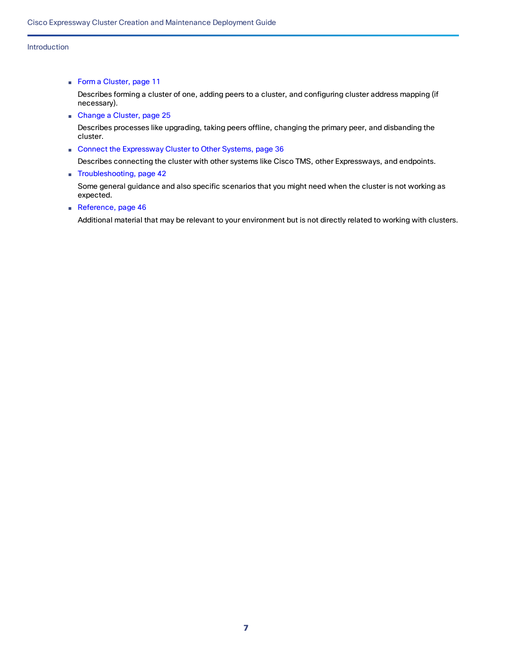#### Introduction

■ Form a [Cluster,](#page-10-0) page 11

Describes forming a cluster of one, adding peers to a cluster, and configuring cluster address mapping (if necessary).

■ [Change](#page-24-0) a Cluster, page 25

Describes processes like upgrading, taking peers offline, changing the primary peer, and disbanding the cluster.

■ Connect the [Expressway](#page-35-0) Cluster to Other Systems, page 36

Describes connecting the cluster with other systems like Cisco TMS, other Expressways, and endpoints.

■ [Troubleshooting,](#page-41-0) page 42

Some general guidance and also specific scenarios that you might need when the cluster is not working as expected.

■ [Reference,](#page-45-0) page 46

Additional material that may be relevant to your environment but is not directly related to working with clusters.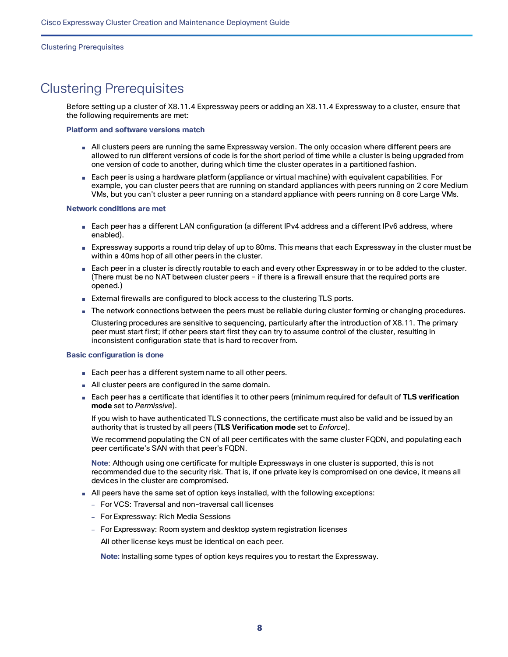#### Clustering Prerequisites

# <span id="page-7-0"></span>Clustering Prerequisites

Before setting up a cluster of X8.11.4 Expressway peers or adding an X8.11.4 Expressway to a cluster, ensure that the following requirements are met:

#### **Platform and software versions match**

- All clusters peers are running the same Expressway version. The only occasion where different peers are allowed to run different versions of code is for the short period of time while a cluster is being upgraded from one version of code to another, during which time the cluster operates in a partitioned fashion.
- Each peer is using a hardware platform (appliance or virtual machine) with equivalent capabilities. For example, you can cluster peers that are running on standard appliances with peers running on 2 core Medium VMs, but you can't cluster a peer running on a standard appliance with peers running on 8 core Large VMs.

#### **Network conditions are met**

- Each peer has a different LAN configuration (a different IPv4 address and a different IPv6 address, where enabled).
- Expressway supports a round trip delay of up to 80ms. This means that each Expressway in the cluster must be within a 40ms hop of all other peers in the cluster.
- Each peer in a cluster is directly routable to each and every other Expressway in or to be added to the cluster. (There must be no NAT between cluster peers – if there is a firewall ensure that the required ports are opened.)
- External firewalls are configured to block access to the clustering TLS ports.
- The network connections between the peers must be reliable during cluster forming or changing procedures.

Clustering procedures are sensitive to sequencing, particularly after the introduction of X8.11. The primary peer must start first; if other peers start first they can try to assume control of the cluster, resulting in inconsistent configuration state that is hard to recover from.

#### **Basic configuration is done**

- Each peer has a different system name to all other peers.
- All cluster peers are configured in the same domain.
- Each peer has a certificate that identifies it to other peers (minimum required for default of **TLS verification mode** set to *Permissive*).

If you wish to have authenticated TLS connections, the certificate must also be valid and be issued by an authority that is trusted by all peers (**TLS Verification mode** set to *Enforce*).

We recommend populating the CN of all peer certificates with the same cluster FQDN, and populating each peer certificate's SAN with that peer's FQDN.

**Note**: Although using one certificate for multiple Expressways in one cluster is supported, this is not recommended due to the security risk. That is, if one private key is compromised on one device, it means all devices in the cluster are compromised.

- All peers have the same set of option keys installed, with the following exceptions:
	- For VCS: Traversal and non-traversal call licenses
	- For Expressway: Rich Media Sessions
	- For Expressway: Room system and desktop system registration licenses

All other license keys must be identical on each peer.

**Note:** Installing some types of option keys requires you to restart the Expressway.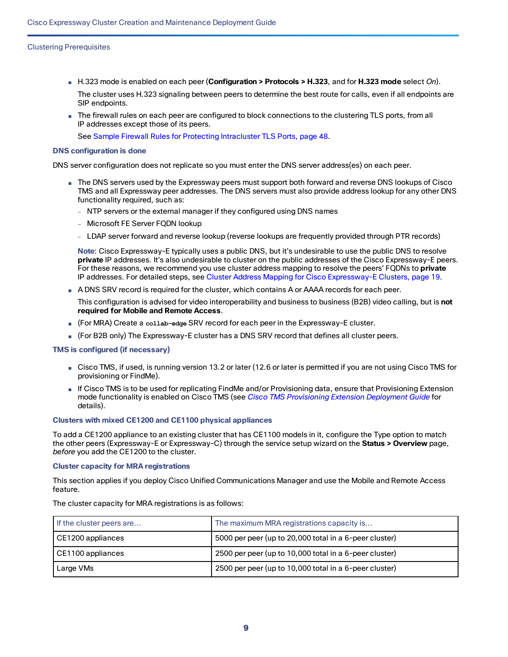#### Clustering Prerequisites

- H.323 mode is enabled on each peer (**Configuration > Protocols > H.323**, and for **H.323 mode** select *On*). The cluster uses H.323 signaling between peers to determine the best route for calls, even if all endpoints are SIP endpoints.
- The firewall rules on each peer are configured to block connections to the clustering TLS ports, from all IP addresses except those of its peers.

See Sample Firewall Rules for Protecting [Intracluster](#page-47-0) TLS Ports, page 48.

#### **DNS configuration is done**

DNS server configuration does not replicate so you must enter the DNS server address(es) on each peer.

- The DNS servers used by the Expressway peers must support both forward and reverse DNS lookups of Cisco TMS and all Expressway peer addresses. The DNS servers must also provide address lookup for any other DNS functionality required, such as:
	- NTP servers or the external manager if they configured using DNS names
	- Microsoft FE Server FQDN lookup
	- LDAP server forward and reverse lookup (reverse lookups are frequently provided through PTR records)

**Note**: Cisco Expressway-E typically uses a public DNS, but it's undesirable to use the public DNS to resolve **private** IP addresses. It's also undesirable to cluster on the public addresses of the Cisco Expressway-E peers. For these reasons, we recommend you use cluster address mapping to resolve the peers' FQDNs to **private** IP addresses. For detailed steps, see Cluster Address Mapping for Cisco [Expressway-E](#page-18-1) Clusters, page 19.

■ A DNS SRV record is required for the cluster, which contains A or AAAA records for each peer.

This configuration is advised for video interoperability and business to business (B2B) video calling, but is **not required for Mobile and Remote Access**.

- (For MRA) Create a **collab-edge** SRV record for each peer in the Expressway-E cluster.
- (For B2B only) The Expressway-E cluster has a DNS SRV record that defines all cluster peers.

#### **TMS is configured (if necessary)**

- Cisco TMS, if used, is running version 13.2 or later (12.6 or later is permitted if you are not using Cisco TMS for provisioning or FindMe).
- If Cisco TMS is to be used for replicating FindMe and/or Provisioning data, ensure that Provisioning Extension mode functionality is enabled on Cisco TMS (see *Cisco TMS [Provisioning](http://www.cisco.com/en/US/products/ps11338/products_installation_and_configuration_guides_list.html) Extension Deployment Guide* for details).

#### **Clusters with mixed CE1200 and CE1100 physical appliances**

To add a CE1200 appliance to an existing cluster that has CE1100 models in it, configure the Type option to match the other peers (Expressway-E or Expressway-C) through the service setup wizard on the **Status > Overview** page, *before* you add the CE1200 to the cluster.

#### **Cluster capacity for MRA registrations**

This section applies if you deploy Cisco Unified Communications Manager and use the Mobile and Remote Access feature.

The cluster capacity for MRA registrations is as follows:

| If the cluster peers are | The maximum MRA registrations capacity is              |  |  |
|--------------------------|--------------------------------------------------------|--|--|
| CE1200 appliances        | 5000 per peer (up to 20,000 total in a 6-peer cluster) |  |  |
| CE1100 appliances        | 2500 per peer (up to 10,000 total in a 6-peer cluster) |  |  |
| Large VMs                | 2500 per peer (up to 10,000 total in a 6-peer cluster) |  |  |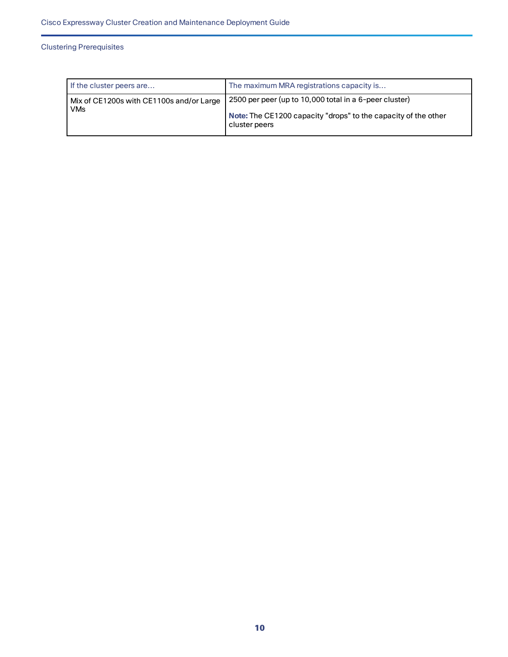### Clustering Prerequisites

| If the cluster peers are                               | The maximum MRA registrations capacity is                                                                                                 |  |  |
|--------------------------------------------------------|-------------------------------------------------------------------------------------------------------------------------------------------|--|--|
| Mix of CE1200s with CE1100s and/or Large<br><b>VMs</b> | 2500 per peer (up to 10,000 total in a 6-peer cluster)<br>Note: The CE1200 capacity "drops" to the capacity of the other<br>cluster peers |  |  |
|                                                        |                                                                                                                                           |  |  |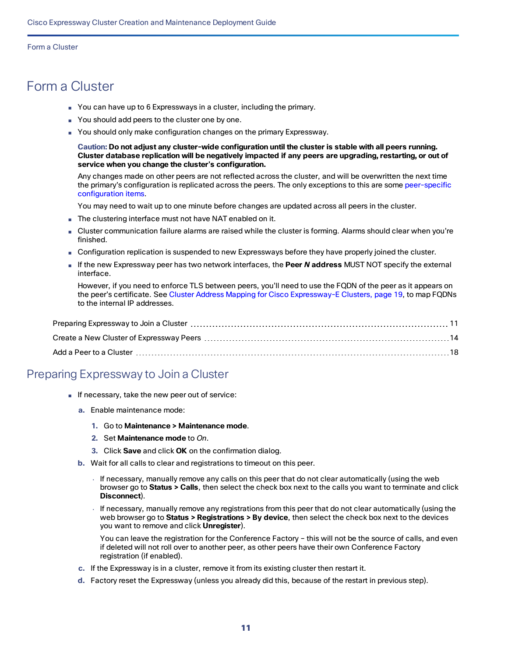- <span id="page-10-0"></span>■ You can have up to 6 Expressways in a cluster, including the primary.
- You should add peers to the cluster one by one.
- You should only make configuration changes on the primary Expressway.

**Caution: Do not adjust any cluster-wide configuration until the cluster is stable with all peers running. Cluster database replication will be negatively impacted if any peers are upgrading, restarting, or out of service when you change the cluster's configuration.**

Any changes made on other peers are not reflected across the cluster, and will be overwritten the next time the primary's configuration is replicated across the peers. The only exceptions to this are some [peer-specific](#page-46-0) [configuration](#page-46-0) items.

You may need to wait up to one minute before changes are updated across all peers in the cluster.

- The clustering interface must not have NAT enabled on it.
- Cluster communication failure alarms are raised while the cluster is forming. Alarms should clear when you're finished.
- Configuration replication is suspended to new Expressways before they have properly joined the cluster.
- If the new Expressway peer has two network interfaces, the Peer N address MUST NOT specify the external interface.

However, if you need to enforce TLS between peers, you'll need to use the FQDN of the peer as it appears on the peer's certificate. See Cluster Address Mapping for Cisco [Expressway-E](#page-18-1) Clusters, page 19, to map FQDNs to the internal IP addresses.

# <span id="page-10-1"></span>Preparing Expressway to Join a Cluster

- If necessary, take the new peer out of service:
	- **a.** Enable maintenance mode:
		- **1.** Go to **Maintenance > Maintenance mode**.
		- **2.** Set **Maintenance mode** to *On*.
		- **3.** Click **Save** and click **OK** on the confirmation dialog.
	- **b.** Wait for all calls to clear and registrations to timeout on this peer.
		- If necessary, manually remove any calls on this peer that do not clear automatically (using the web browser go to **Status > Calls**, then select the check box next to the calls you want to terminate and click **Disconnect**).
		- If necessary, manually remove any registrations from this peer that do not clear automatically (using the web browser go to **Status > Registrations > By device**, then select the check box next to the devices you want to remove and click **Unregister**).

You can leave the registration for the Conference Factory – this will not be the source of calls, and even if deleted will not roll over to another peer, as other peers have their own Conference Factory registration (if enabled).

- **c.** If the Expressway is in a cluster, remove it from its existing cluster then restart it.
- **d.** Factory reset the Expressway (unless you already did this, because of the restart in previous step).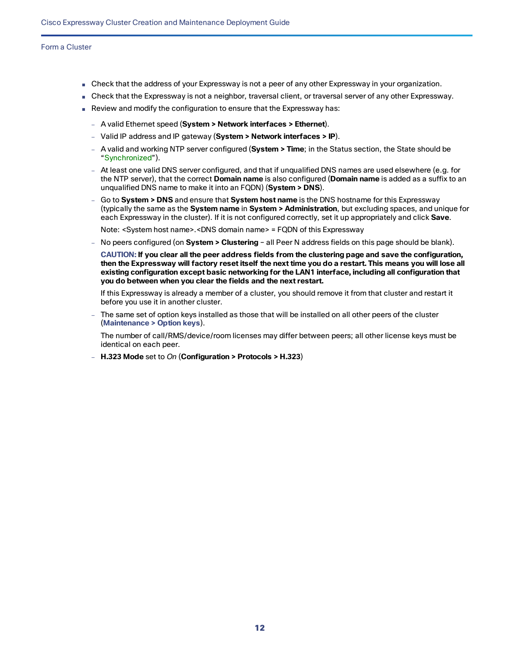- Check that the address of your Expressway is not a peer of any other Expressway in your organization.
- Check that the Expressway is not a neighbor, traversal client, or traversal server of any other Expressway.
- Review and modify the configuration to ensure that the Expressway has:
	- A valid Ethernet speed (**System > Network interfaces > Ethernet**).
	- Valid IP address and IP gateway (**System > Network interfaces > IP**).
	- A valid and working NTP server configured (**System > Time**; in the Status section, the State should be "Synchronized").
	- At least one valid DNS server configured, and that if unqualified DNS names are used elsewhere (e.g. for the NTP server), that the correct **Domain name** is also configured (**Domain name** is added as a suffix to an unqualified DNS name to make it into an FQDN) (**System > DNS**).
	- Go to **System > DNS** and ensure that **System host name** is the DNS hostname for this Expressway (typically the same as the **System name** in **System > Administration**, but excluding spaces, and unique for each Expressway in the cluster). If it is not configured correctly, set it up appropriately and click **Save**.

Note: <System host name>.<DNS domain name> = FQDN of this Expressway

— No peers configured (on **System > Clustering** – all Peer N address fields on this page should be blank).

**CAUTION: If you clear all the peer address fields from the clustering page and save the configuration,** then the Expressway will factory reset itself the next time you do a restart. This means you will lose all **existing configuration except basic networking for the LAN1 interface, including all configuration that you do between when you clear the fields and the next restart.**

If this Expressway is already a member of a cluster, you should remove it from that cluster and restart it before you use it in another cluster.

— The same set of option keys installed as those that will be installed on all other peers of the cluster (**Maintenance > Option keys**).

The number of call/RMS/device/room licenses may differ between peers; all other license keys must be identical on each peer.

— **H.323 Mode** set to *On* (**Configuration > Protocols > H.323**)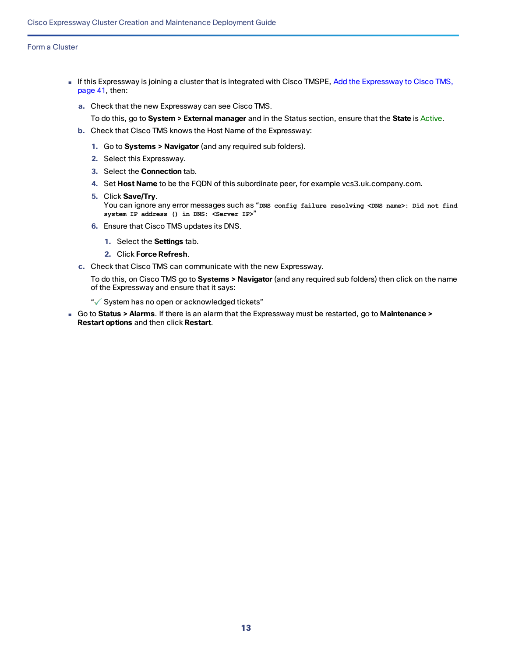- If this [Expressway](#page-40-0) is joining a cluster that is integrated with Cisco TMSPE, Add the Expressway to Cisco TMS, [page](#page-40-0) 41, then:
	- **a.** Check that the new Expressway can see Cisco TMS.
		- To do this, go to **System > External manager** and in the Status section, ensure that the **State** is Active.
	- **b.** Check that Cisco TMS knows the Host Name of the Expressway:
		- **1.** Go to **Systems > Navigator** (and any required sub folders).
		- **2.** Select this Expressway.
		- **3.** Select the **Connection** tab.
		- **4.** Set **Host Name** to be the FQDN of this subordinate peer, for example vcs3.uk.company.com.
		- **5.** Click **Save/Try**. You can ignore any error messages such as "**DNS config failure resolving <DNS name>: Did not find system IP address () in DNS: <Server IP>**"
		- **6.** Ensure that Cisco TMS updates its DNS.
			- **1.** Select the **Settings** tab.
			- **2.** Click **Force Refresh**.
	- **c.** Check that Cisco TMS can communicate with the new Expressway.

To do this, on Cisco TMS go to **Systems > Navigator** (and any required sub folders) then click on the name of the Expressway and ensure that it says:

- " System has no open or acknowledged tickets"
- Go to **Status > Alarms**. If there is an alarm that the Expressway must be restarted, go to **Maintenance > Restart options** and then click **Restart**.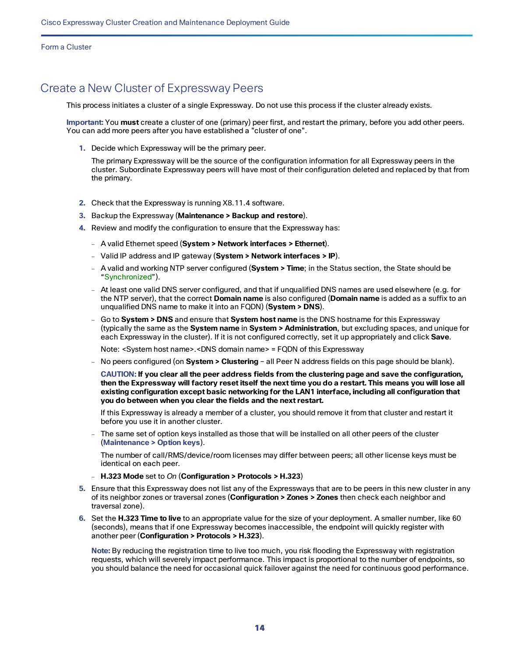# <span id="page-13-0"></span>Create a New Cluster of Expressway Peers

This process initiates a cluster of a single Expressway. Do not use this process if the cluster already exists.

**Important:** You **must** create a cluster of one (primary) peer first, and restart the primary, before you add other peers. You can add more peers after you have established a "cluster of one".

**1.** Decide which Expressway will be the primary peer.

The primary Expressway will be the source of the configuration information for all Expressway peers in the cluster. Subordinate Expressway peers will have most of their configuration deleted and replaced by that from the primary.

- **2.** Check that the Expressway is running X8.11.4 software.
- **3.** Backup the Expressway (**Maintenance > Backup and restore**).
- **4.** Review and modify the configuration to ensure that the Expressway has:
	- A valid Ethernet speed (**System > Network interfaces > Ethernet**).
	- Valid IP address and IP gateway (**System > Network interfaces > IP**).
	- A valid and working NTP server configured (**System > Time**; in the Status section, the State should be "Synchronized").
	- At least one valid DNS server configured, and that if unqualified DNS names are used elsewhere (e.g. for the NTP server), that the correct **Domain name** is also configured (**Domain name** is added as a suffix to an unqualified DNS name to make it into an FQDN) (**System > DNS**).
	- Go to **System > DNS** and ensure that **System host name** is the DNS hostname for this Expressway (typically the same as the **System name** in **System > Administration**, but excluding spaces, and unique for each Expressway in the cluster). If it is not configured correctly, set it up appropriately and click **Save**.

Note: <System host name>.<DNS domain name> = FQDN of this Expressway

— No peers configured (on **System > Clustering** – all Peer N address fields on this page should be blank).

**CAUTION: If you clear all the peer address fields from the clustering page and save the configuration,** then the Expressway will factory reset itself the next time you do a restart. This means you will lose all **existing configuration except basic networking for the LAN1 interface, including all configuration that you do between when you clear the fields and the next restart.**

If this Expressway is already a member of a cluster, you should remove it from that cluster and restart it before you use it in another cluster.

The same set of option keys installed as those that will be installed on all other peers of the cluster (**Maintenance > Option keys**).

The number of call/RMS/device/room licenses may differ between peers; all other license keys must be identical on each peer.

- **H.323 Mode** set to *On* (**Configuration > Protocols > H.323**)
- **5.** Ensure that this Expressway does not list any of the Expressways that are to be peers in this new cluster in any of its neighbor zones or traversal zones (**Configuration > Zones > Zones** then check each neighbor and traversal zone).
- **6.** Set the **H.323 Time to live** to an appropriate value for the size of your deployment. A smaller number, like 60 (seconds), means that if one Expressway becomes inaccessible, the endpoint will quickly register with another peer (**Configuration > Protocols > H.323**).

**Note:** By reducing the registration time to live too much, you risk flooding the Expressway with registration requests, which will severely impact performance. This impact is proportional to the number of endpoints, so you should balance the need for occasional quick failover against the need for continuous good performance.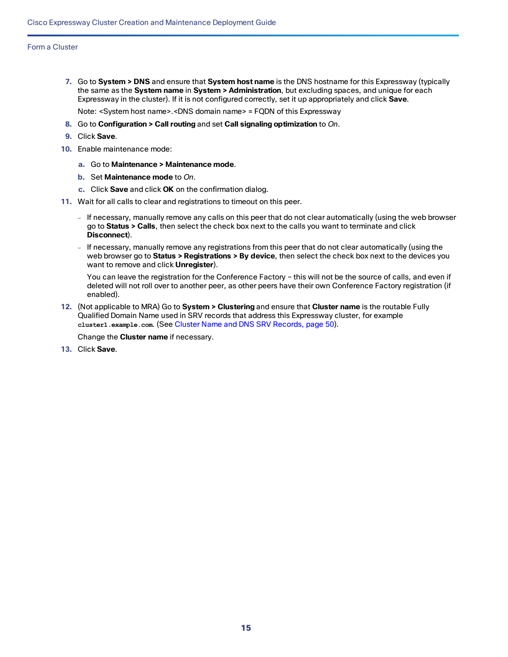**7.** Go to **System > DNS** and ensure that **System host name** is the DNS hostname for this Expressway (typically the same as the **System name** in **System > Administration**, but excluding spaces, and unique for each Expressway in the cluster). If it is not configured correctly, set it up appropriately and click **Save**.

Note: <System host name>.<DNS domain name> = FQDN of this Expressway

- **8.** Go to **Configuration > Call routing** and set **Call signaling optimization** to *On*.
- **9.** Click **Save**.
- **10.** Enable maintenance mode:
	- **a.** Go to **Maintenance > Maintenance mode**.
	- **b.** Set **Maintenance mode** to *On*.
	- **c.** Click **Save** and click **OK** on the confirmation dialog.
- **11.** Wait for all calls to clear and registrations to timeout on this peer.
	- If necessary, manually remove any calls on this peer that do not clear automatically (using the web browser go to **Status > Calls**, then select the check box next to the calls you want to terminate and click **Disconnect**).
	- If necessary, manually remove any registrations from this peer that do not clear automatically (using the web browser go to **Status > Registrations > By device**, then select the check box next to the devices you want to remove and click **Unregister**).

You can leave the registration for the Conference Factory – this will not be the source of calls, and even if deleted will not roll over to another peer, as other peers have their own Conference Factory registration (if enabled).

**12.** (Not applicable to MRA) Go to **System > Clustering** and ensure that **Cluster name** is the routable Fully Qualified Domain Name used in SRV records that address this Expressway cluster, for example **cluster1.example.com**. (See Cluster Name and DNS SRV [Records,](#page-49-0) page 50).

Change the **Cluster name** if necessary.

**13.** Click **Save**.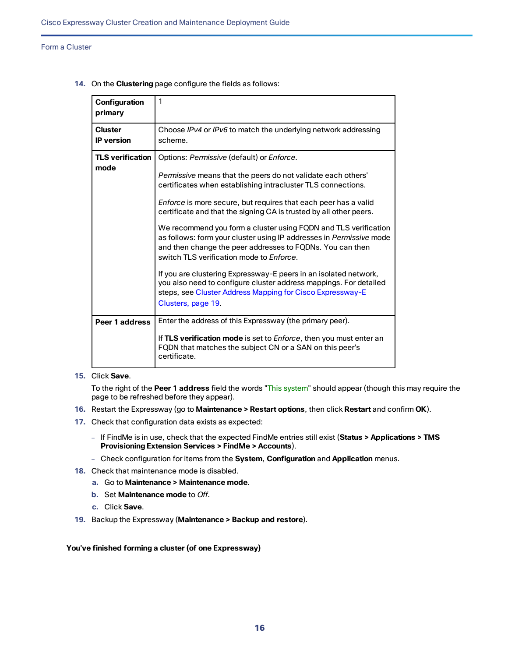| Configuration<br>primary            | 1                                                                                                                                                                                                                                                                                                                                                                                                                                                                                                                                                                                                                                                                                                                                                                                                        |
|-------------------------------------|----------------------------------------------------------------------------------------------------------------------------------------------------------------------------------------------------------------------------------------------------------------------------------------------------------------------------------------------------------------------------------------------------------------------------------------------------------------------------------------------------------------------------------------------------------------------------------------------------------------------------------------------------------------------------------------------------------------------------------------------------------------------------------------------------------|
| <b>Cluster</b><br><b>IP</b> version | Choose IPv4 or IPv6 to match the underlying network addressing<br>scheme.                                                                                                                                                                                                                                                                                                                                                                                                                                                                                                                                                                                                                                                                                                                                |
| <b>TLS verification</b><br>mode     | Options: Permissive (default) or Enforce.<br><i>Permissive</i> means that the peers do not validate each others'<br>certificates when establishing intracluster TLS connections.<br>Enforce is more secure, but requires that each peer has a valid<br>certificate and that the signing CA is trusted by all other peers.<br>We recommend you form a cluster using FQDN and TLS verification<br>as follows: form your cluster using IP addresses in Permissive mode<br>and then change the peer addresses to FQDNs. You can then<br>switch TLS verification mode to Enforce.<br>If you are clustering Expressway-E peers in an isolated network,<br>you also need to configure cluster address mappings. For detailed<br>steps, see Cluster Address Mapping for Cisco Expressway-E<br>Clusters, page 19. |
| Peer 1 address                      | Enter the address of this Expressway (the primary peer).<br>If TLS verification mode is set to <i>Enforce</i> , then you must enter an<br>FQDN that matches the subject CN or a SAN on this peer's<br>certificate.                                                                                                                                                                                                                                                                                                                                                                                                                                                                                                                                                                                       |

**14.** On the **Clustering** page configure the fields as follows:

#### **15.** Click **Save**.

To the right of the **Peer 1 address** field the words "This system" should appear (though this may require the page to be refreshed before they appear).

- **16.** Restart the Expressway (go to **Maintenance > Restart options**, then click **Restart** and confirm **OK**).
- **17.** Check that configuration data exists as expected:
	- If FindMe is in use, check that the expected FindMe entries still exist (**Status > Applications > TMS Provisioning Extension Services > FindMe > Accounts**).
	- Check configuration for items from the **System**, **Configuration** and **Application** menus.
- **18.** Check that maintenance mode is disabled.
	- **a.** Go to **Maintenance > Maintenance mode**.
	- **b.** Set **Maintenance mode** to *Off*.
	- **c.** Click **Save**.
- **19.** Backup the Expressway (**Maintenance > Backup and restore**).

#### **You've finished forming a cluster (of one Expressway)**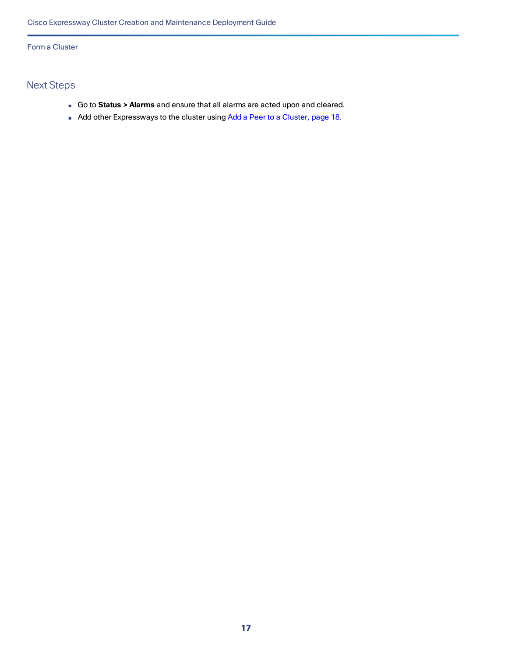# Next Steps

- Go to **Status > Alarms** and ensure that all alarms are acted upon and cleared.
- Add other Expressways to the cluster using Add a Peer to a [Cluster,](#page-17-0) page 18.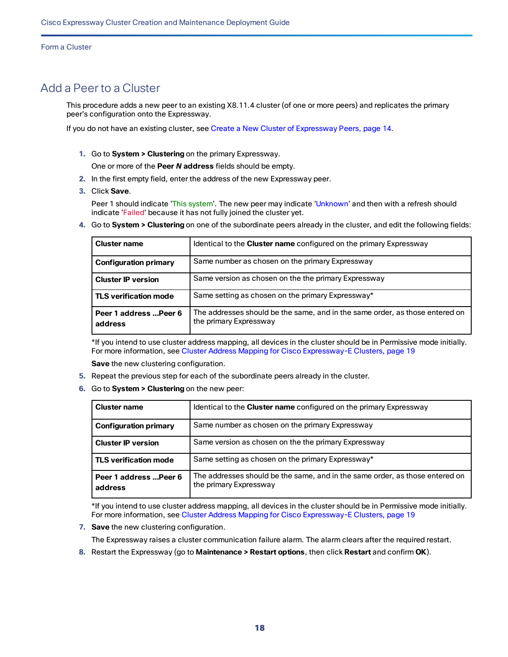# <span id="page-17-0"></span>Add a Peer to a Cluster

This procedure adds a new peer to an existing X8.11.4 cluster (of one or more peers) and replicates the primary peer's configuration onto the Expressway.

If you do not have an existing cluster, see Create a New Cluster of [Expressway Peers,](#page-13-0) page 14.

**1.** Go to **System > Clustering** on the primary Expressway.

One or more of the **Peer** *N* **address** fields should be empty.

- **2.** In the first empty field, enter the address of the new Expressway peer.
- **3.** Click **Save**.

Peer 1 should indicate 'This system'. The new peer may indicate 'Unknown' and then with a refresh should indicate 'Failed' because it has not fully joined the cluster yet.

**4.** Go to **System > Clustering** on one of the subordinate peers already in the cluster, and edit the following fields:

| <b>Cluster name</b>               | Identical to the <b>Cluster name</b> configured on the primary Expressway                              |
|-----------------------------------|--------------------------------------------------------------------------------------------------------|
| <b>Configuration primary</b>      | Same number as chosen on the primary Expressway                                                        |
| <b>Cluster IP version</b>         | Same version as chosen on the the primary Expressway                                                   |
| <b>TLS verification mode</b>      | Same setting as chosen on the primary Expressway*                                                      |
| Peer 1 address  Peer 6<br>address | The addresses should be the same, and in the same order, as those entered on<br>the primary Expressway |

\*If you intend to use cluster address mapping, all devices in the cluster should be in Permissive mode initially. For more information, see Cluster Address Mapping for Cisco [Expressway-E](#page-18-1) Clusters, page 19

**Save** the new clustering configuration.

- **5.** Repeat the previous step for each of the subordinate peers already in the cluster.
- **6.** Go to **System > Clustering** on the new peer:

| <b>Cluster name</b>               | Identical to the <b>Cluster name</b> configured on the primary Expressway                              |
|-----------------------------------|--------------------------------------------------------------------------------------------------------|
| <b>Configuration primary</b>      | Same number as chosen on the primary Expressway                                                        |
| <b>Cluster IP version</b>         | Same version as chosen on the the primary Expressway                                                   |
| <b>TLS verification mode</b>      | Same setting as chosen on the primary Expressway*                                                      |
| Peer 1 address  Peer 6<br>address | The addresses should be the same, and in the same order, as those entered on<br>the primary Expressway |

\*If you intend to use cluster address mapping, all devices in the cluster should be in Permissive mode initially. For more information, see Cluster Address Mapping for Cisco [Expressway-E](#page-18-1) Clusters, page 19

**7. Save** the new clustering configuration.

The Expressway raises a cluster communication failure alarm. The alarm clears after the required restart.

**8.** Restart the Expressway (go to **Maintenance > Restart options**, then click **Restart** and confirm **OK**).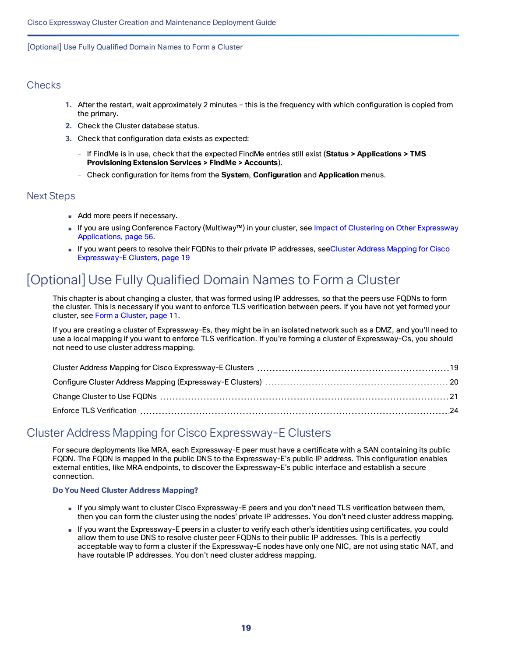### **Checks**

- **1.** After the restart, wait approximately 2 minutes this is the frequency with which configuration is copied from the primary.
- **2.** Check the Cluster database status.
- **3.** Check that configuration data exists as expected:
	- If FindMe is in use, check that the expected FindMe entries still exist (**Status > Applications > TMS Provisioning Extension Services > FindMe > Accounts**).
	- Check configuration for items from the **System**, **Configuration** and **Application** menus.

### Next Steps

- Add more peers if necessary.
- If you are using Conference Factory (Multiway™) in your cluster, see Impact of Clustering on Other [Expressway](#page-55-0) [Applications,](#page-55-0) page 56.
- If you want peers to resolve their FQDNs to their private IP addresses, seeCluster Address [Mapping](#page-18-1) for Cisco [Expressway-E](#page-18-1) Clusters, page 19

# <span id="page-18-0"></span>[Optional] Use Fully Qualified Domain Names to Form a Cluster

This chapter is about changing a cluster, that was formed using IP addresses, so that the peers use FQDNs to form the cluster. This is necessary if you want to enforce TLS verification between peers. If you have not yet formed your cluster, see Form a [Cluster,](#page-10-0) page 11.

If you are creating a cluster of Expressway-Es, they might be in an isolated network such as a DMZ, and you'll need to use a local mapping if you want to enforce TLS verification. If you're forming a cluster of Expressway-Cs, you should not need to use cluster address mapping.

# <span id="page-18-1"></span>Cluster Address Mapping for Cisco Expressway-E Clusters

For secure deployments like MRA, each Expressway-E peer must have a certificate with a SAN containing its public FQDN. The FQDN is mapped in the public DNS to the Expressway-E's public IP address. This configuration enables external entities, like MRA endpoints, to discover the Expressway-E's public interface and establish a secure connection.

#### **Do You Need Cluster Address Mapping?**

- If you simply want to cluster Cisco Expressway-E peers and you don't need TLS verification between them, then you can form the cluster using the nodes' private IP addresses. You don't need cluster address mapping.
- If you want the Expressway-E peers in a cluster to verify each other's identities using certificates, you could allow them to use DNS to resolve cluster peer FQDNs to their public IP addresses. This is a perfectly acceptable way to form a cluster if the Expressway-E nodes have only one NIC, are not using static NAT, and have routable IP addresses. You don't need cluster address mapping.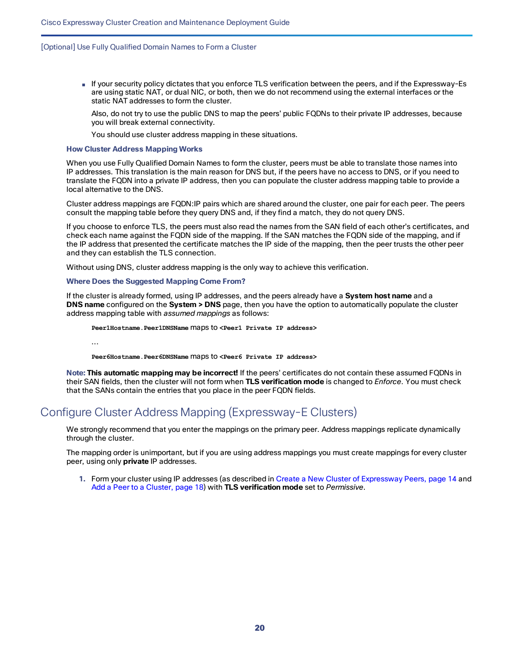■ If your security policy dictates that you enforce TLS verification between the peers, and if the Expressway-Es are using static NAT, or dual NIC, or both, then we do not recommend using the external interfaces or the static NAT addresses to form the cluster.

Also, do not try to use the public DNS to map the peers' public FQDNs to their private IP addresses, because you will break external connectivity.

You should use cluster address mapping in these situations.

#### **How Cluster Address Mapping Works**

When you use Fully Qualified Domain Names to form the cluster, peers must be able to translate those names into IP addresses. This translation is the main reason for DNS but, if the peers have no access to DNS, or if you need to translate the FQDN into a private IP address, then you can populate the cluster address mapping table to provide a local alternative to the DNS.

Cluster address mappings are FQDN:IP pairs which are shared around the cluster, one pair for each peer. The peers consult the mapping table before they query DNS and, if they find a match, they do not query DNS.

If you choose to enforce TLS, the peers must also read the names from the SAN field of each other's certificates, and check each name against the FQDN side of the mapping. If the SAN matches the FQDN side of the mapping, and if the IP address that presented the certificate matches the IP side of the mapping, then the peer trusts the other peer and they can establish the TLS connection.

Without using DNS, cluster address mapping is the only way to achieve this verification.

#### **Where Does the Suggested Mapping Come From?**

If the cluster is already formed, using IP addresses, and the peers already have a **System host name** and a **DNS name** configured on the **System > DNS** page, then you have the option to automatically populate the cluster address mapping table with *assumed mappings* as follows:

**Peer1Hostname.Peer1DNSName** maps to **<Peer1 Private IP address>**

...

**Peer6Hostname.Peer6DNSName** maps to **<Peer6 Private IP address>**

**Note: This automatic mapping may be incorrect!** If the peers' certificates do not contain these assumed FQDNs in their SAN fields, then the cluster will not form when **TLS verification mode** is changed to *Enforce*. You must check that the SANs contain the entries that you place in the peer FQDN fields.

# <span id="page-19-0"></span>Configure Cluster Address Mapping (Expressway-E Clusters)

We strongly recommend that you enter the mappings on the primary peer. Address mappings replicate dynamically through the cluster.

The mapping order is unimportant, but if you are using address mappings you must create mappings for every cluster peer, using only **private** IP addresses.

**1.** Form your cluster using IP addresses (as described in Create a New Cluster of [Expressway Peers,](#page-13-0) page 14 and Add a Peer to a [Cluster,](#page-17-0) page 18) with **TLS verification mode** set to *Permissive*.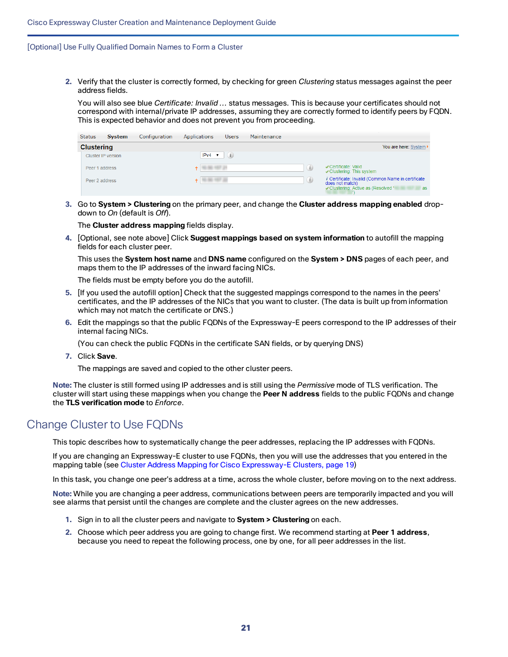**2.** Verify that the cluster is correctly formed, by checking for green *Clustering* status messages against the peer address fields.

You will also see blue *Certificate: Invalid ...* status messages. This is because your certificates should not correspond with internal/private IP addresses, assuming they are correctly formed to identify peers by FQDN. This is expected behavior and does not prevent you from proceeding.

| <b>Status</b> | <b>System</b>      | Configuration | Applications                | <b>Users</b> | Maintenance |                                                                                                                         |
|---------------|--------------------|---------------|-----------------------------|--------------|-------------|-------------------------------------------------------------------------------------------------------------------------|
|               | <b>Clustering</b>  |               |                             |              |             | You are here: System •                                                                                                  |
|               | Cluster IP version |               | $IPv4$ $\blacktriangledown$ | (i)          |             |                                                                                                                         |
|               | Peer 1 address     |               |                             |              | (i)         | Certificate: Valid<br>Clustering: This system                                                                           |
|               | Peer 2 address     |               | .                           |              | (i)         | <i>i</i> Certificate: Invalid (Common Name in certificate<br>does not match)<br>Clustering: Active as (Resolved '<br>as |

**3.** Go to **System > Clustering** on the primary peer, and change the **Cluster address mapping enabled** dropdown to *On* (default is *Off*).

The **Cluster address mapping** fields display.

**4.** [Optional, see note above] Click **Suggest mappings based on system information** to autofill the mapping fields for each cluster peer.

This uses the **System host name** and **DNS name** configured on the **System > DNS** pages of each peer, and maps them to the IP addresses of the inward facing NICs.

The fields must be empty before you do the autofill.

- **5.** [If you used the autofill option] Check that the suggested mappings correspond to the names in the peers' certificates, and the IP addresses of the NICs that you want to cluster. (The data is built up from information which may not match the certificate or DNS.)
- **6.** Edit the mappings so that the public FQDNs of the Expressway-E peers correspond to the IP addresses of their internal facing NICs.

(You can check the public FQDNs in the certificate SAN fields, or by querying DNS)

**7.** Click **Save**.

The mappings are saved and copied to the other cluster peers.

**Note:** The cluster is still formed using IP addresses and is still using the *Permissive* mode of TLS verification. The cluster will start using these mappings when you change the **Peer N address** fields to the public FQDNs and change the **TLS verification mode** to *Enforce*.

# <span id="page-20-0"></span>Change Cluster to Use FQDNs

This topic describes how to systematically change the peer addresses, replacing the IP addresses with FQDNs.

If you are changing an Expressway-E cluster to use FQDNs, then you will use the addresses that you entered in the mapping table (see Cluster Address Mapping for Cisco [Expressway-E](#page-18-1) Clusters, page 19)

In this task, you change one peer's address at a time, across the whole cluster, before moving on to the next address.

**Note:** While you are changing a peer address, communications between peers are temporarily impacted and you will see alarms that persist until the changes are complete and the cluster agrees on the new addresses.

- **1.** Sign in to all the cluster peers and navigate to **System > Clustering** on each.
- **2.** Choose which peer address you are going to change first. We recommend starting at **Peer 1 address**, because you need to repeat the following process, one by one, for all peer addresses in the list.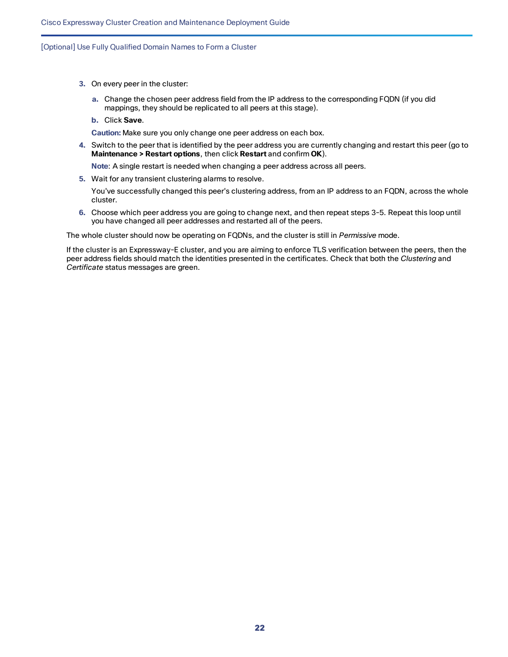- **3.** On every peer in the cluster:
	- **a.** Change the chosen peer address field from the IP address to the corresponding FQDN (if you did mappings, they should be replicated to all peers at this stage).
	- **b.** Click **Save**.

**Caution:** Make sure you only change one peer address on each box.

**4.** Switch to the peer that is identified by the peer address you are currently changing and restart this peer (go to **Maintenance > Restart options**, then click **Restart** and confirm **OK**).

**Note**: A single restart is needed when changing a peer address across all peers.

**5.** Wait for any transient clustering alarms to resolve.

You've successfully changed this peer's clustering address, from an IP address to an FQDN, across the whole cluster.

**6.** Choose which peer address you are going to change next, and then repeat steps 3-5. Repeat this loop until you have changed all peer addresses and restarted all of the peers.

The whole cluster should now be operating on FQDNs, and the cluster is still in *Permissive* mode.

If the cluster is an Expressway-E cluster, and you are aiming to enforce TLS verification between the peers, then the peer address fields should match the identities presented in the certificates. Check that both the *Clustering* and *Certificate* status messages are green.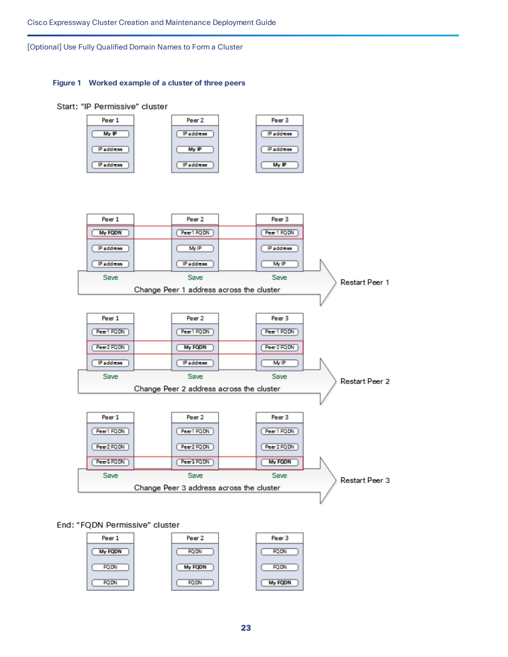#### **Figure 1 Worked example of a cluster of three peers**



### End: "FQDN Permissive" cluster

| Peer 1      | Peer <sub>2</sub> | Peer 3         |
|-------------|-------------------|----------------|
| My FQDN     | <b>FQDN</b>       | <b>FQDN</b>    |
| <b>FQDN</b> | My FQDN           | <b>FQDN</b>    |
| <b>FQDN</b> | <b>FQDN</b>       | <b>My FQDN</b> |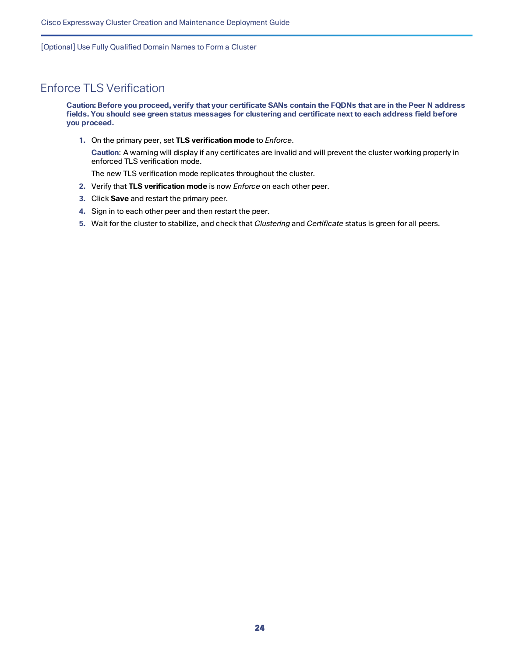# <span id="page-23-0"></span>Enforce TLS Verification

Caution: Before you proceed, verify that your certificate SANs contain the FQDNs that are in the Peer N address fields. You should see green status messages for clustering and certificate next to each address field before **you proceed.**

**1.** On the primary peer, set **TLS verification mode** to *Enforce*.

**Caution**: A warning will display if any certificates are invalid and will prevent the cluster working properly in enforced TLS verification mode.

The new TLS verification mode replicates throughout the cluster.

- **2.** Verify that **TLS verification mode** is now *Enforce* on each other peer.
- **3.** Click **Save** and restart the primary peer.
- **4.** Sign in to each other peer and then restart the peer.
- **5.** Wait for the cluster to stabilize, and check that *Clustering* and *Certificate* status is green for all peers.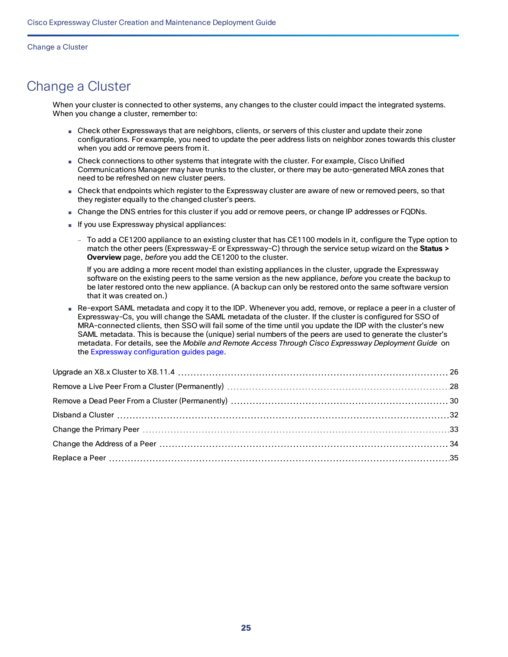<span id="page-24-0"></span>When your cluster is connected to other systems, any changes to the cluster could impact the integrated systems. When you change a cluster, remember to:

- Check other Expressways that are neighbors, clients, or servers of this cluster and update their zone configurations. For example, you need to update the peer address lists on neighbor zones towards this cluster when you add or remove peers from it.
- Check connections to other systems that integrate with the cluster. For example, Cisco Unified Communications Manager may have trunks to the cluster, or there may be auto-generated MRA zones that need to be refreshed on new cluster peers.
- Check that endpoints which register to the Expressway cluster are aware of new or removed peers, so that they register equally to the changed cluster's peers.
- Change the DNS entries for this cluster if you add or remove peers, or change IP addresses or FQDNs.
- If you use Expressway physical appliances:
	- To add a CE1200 appliance to an existing cluster that has CE1100 models in it, configure the Type option to match the other peers (Expressway-E or Expressway-C) through the service setup wizard on the **Status > Overview** page, *before* you add the CE1200 to the cluster.

If you are adding a more recent model than existing appliances in the cluster, upgrade the Expressway software on the existing peers to the same version as the new appliance, *before* you create the backup to be later restored onto the new appliance. (A backup can only be restored onto the same software version that it was created on.)

■ Re-export SAML metadata and copy it to the IDP. Whenever you add, remove, or replace a peer in a cluster of Expressway-Cs, you will change the SAML metadata of the cluster. If the cluster is configured for SSO of MRA-connected clients, then SSO will fail some of the time until you update the IDP with the cluster's new SAML metadata. This is because the (unique) serial numbers of the peers are used to generate the cluster's metadata. For details, see the *Mobile and Remote Access Through Cisco Expressway Deployment Guide* on the Expressway [configuration](http://www.cisco.com/c/en/us/support/unified-communications/expressway-series/products-installation-and-configuration-guides-list.html) guides page.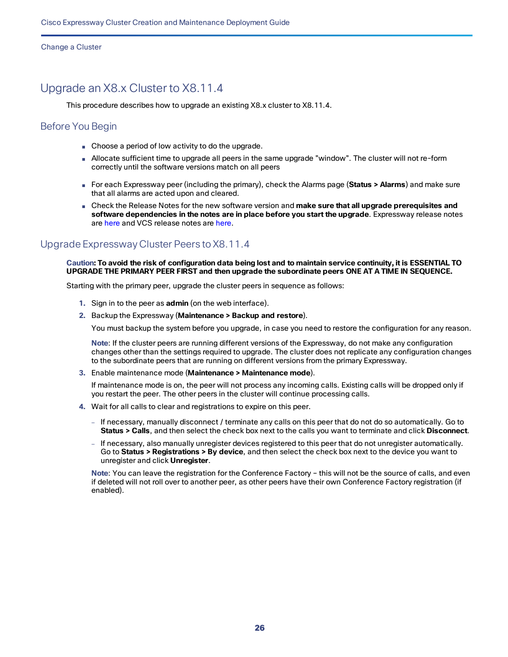# <span id="page-25-0"></span>Upgrade an X8.x Cluster to X8.11.4

This procedure describes how to upgrade an existing X8.x cluster to X8.11.4.

### Before You Begin

- Choose a period of low activity to do the upgrade.
- Allocate sufficient time to upgrade all peers in the same upgrade "window". The cluster will not re-form correctly until the software versions match on all peers
- For each Expressway peer (including the primary), check the Alarms page (**Status > Alarms**) and make sure that all alarms are acted upon and cleared.
- Check the Release Notes for the new software version and **make sure that all upgrade prerequisites and software dependencies in the notes are in place before you start the upgrade**. Expressway release notes are [here](https://www.cisco.com/c/en/us/support/unified-communications/telepresence-video-communication-server-vcs/products-release-notes-list.html) and VCS release notes are here.

## Upgrade Expressway Cluster Peers to X8.11.4

Caution: To avoid the risk of configuration data being lost and to maintain service continuity, it is ESSENTIAL TO **UPGRADE THE PRIMARY PEER FIRST and then upgrade the subordinate peers ONE AT A TIME IN SEQUENCE.**

Starting with the primary peer, upgrade the cluster peers in sequence as follows:

- **1.** Sign in to the peer as **admin** (on the web interface).
- **2.** Backup the Expressway (**Maintenance > Backup and restore**).

You must backup the system before you upgrade, in case you need to restore the configuration for any reason.

**Note**: If the cluster peers are running different versions of the Expressway, do not make any configuration changes other than the settings required to upgrade. The cluster does not replicate any configuration changes to the subordinate peers that are running on different versions from the primary Expressway.

**3.** Enable maintenance mode (**Maintenance > Maintenance mode**).

If maintenance mode is on, the peer will not process any incoming calls. Existing calls will be dropped only if you restart the peer. The other peers in the cluster will continue processing calls.

- **4.** Wait for all calls to clear and registrations to expire on this peer.
	- If necessary, manually disconnect / terminate any calls on this peer that do not do so automatically. Go to **Status > Calls**, and then select the check box next to the calls you want to terminate and click **Disconnect**.
	- If necessary, also manually unregister devices registered to this peer that do not unregister automatically. Go to **Status > Registrations > By device**, and then select the check box next to the device you want to unregister and click **Unregister**.

**Note**: You can leave the registration for the Conference Factory – this will not be the source of calls, and even if deleted will not roll over to another peer, as other peers have their own Conference Factory registration (if enabled).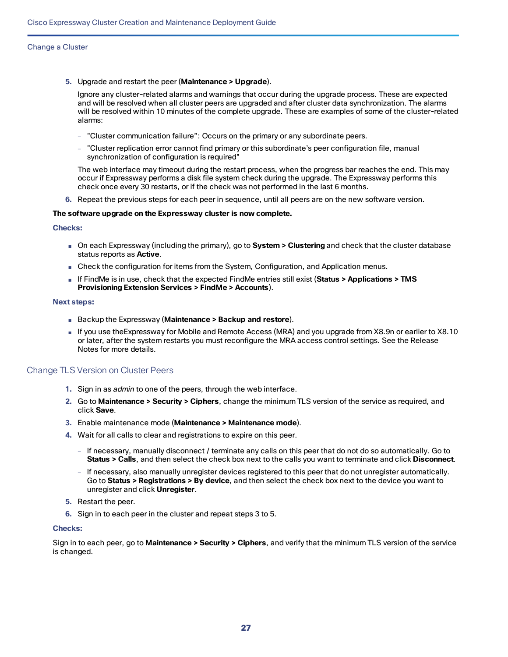**5.** Upgrade and restart the peer (**Maintenance > Upgrade**).

Ignore any cluster-related alarms and warnings that occur during the upgrade process. These are expected and will be resolved when all cluster peers are upgraded and after cluster data synchronization. The alarms will be resolved within 10 minutes of the complete upgrade. These are examples of some of the cluster-related alarms:

- "Cluster communication failure": Occurs on the primary or any subordinate peers.
- "Cluster replication error cannot find primary or this subordinate's peer configuration file, manual synchronization of configuration is required"

The web interface may timeout during the restart process, when the progress bar reaches the end. This may occur if Expressway performs a disk file system check during the upgrade. The Expressway performs this check once every 30 restarts, or if the check was not performed in the last 6 months.

**6.** Repeat the previous steps for each peer in sequence, until all peers are on the new software version.

#### **The software upgrade on the Expressway cluster is now complete.**

**Checks:** 

- On each Expressway (including the primary), go to **System > Clustering** and check that the cluster database status reports as **Active**.
- Check the configuration for items from the System, Configuration, and Application menus.
- If FindMe is in use, check that the expected FindMe entries still exist (**Status > Applications > TMS Provisioning Extension Services > FindMe > Accounts**).

#### **Next steps:**

- Backup the Expressway (**Maintenance > Backup and restore**).
- If you use theExpressway for Mobile and Remote Access (MRA) and you upgrade from X8.9n or earlier to X8.10 or later, after the system restarts you must reconfigure the MRA access control settings. See the Release Notes for more details.

#### Change TLS Version on Cluster Peers

- **1.** Sign in as *admin* to one of the peers, through the web interface.
- **2.** Go to **Maintenance > Security > Ciphers**, change the minimum TLS version of the service as required, and click **Save**.
- **3.** Enable maintenance mode (**Maintenance > Maintenance mode**).
- **4.** Wait for all calls to clear and registrations to expire on this peer.
	- If necessary, manually disconnect / terminate any calls on this peer that do not do so automatically. Go to **Status > Calls**, and then select the check box next to the calls you want to terminate and click **Disconnect**.
	- If necessary, also manually unregister devices registered to this peer that do not unregister automatically. Go to **Status > Registrations > By device**, and then select the check box next to the device you want to unregister and click **Unregister**.
- **5.** Restart the peer.
- **6.** Sign in to each peer in the cluster and repeat steps 3 to 5.

#### **Checks:**

Sign in to each peer, go to **Maintenance > Security > Ciphers**, and verify that the minimum TLS version of the service is changed.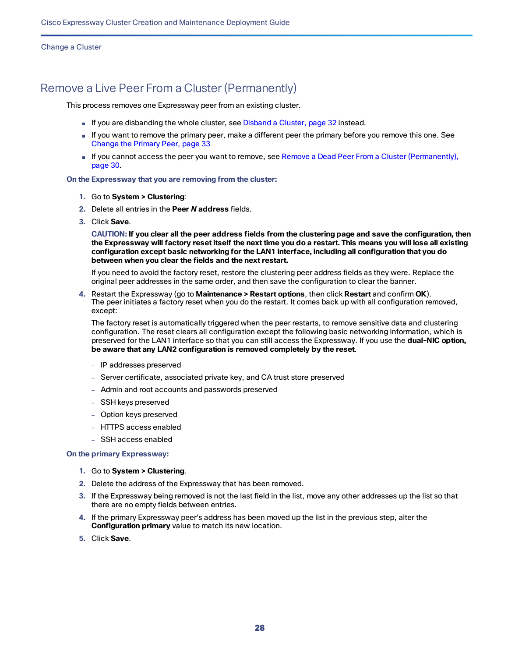# <span id="page-27-0"></span>Remove a Live Peer From a Cluster (Permanently)

This process removes one Expressway peer from an existing cluster.

- If you are disbanding the whole cluster, see Disband [a Cluster,](#page-31-0) page 32 instead.
- If you want to remove the primary peer, make a different peer the primary before you remove this one. See [Change](#page-32-0) the Primary Peer, page 33
- If you cannot access the peer you want to remove, see Remove a Dead Peer From a Cluster [\(Permanently\),](#page-29-0) [page](#page-29-0) 30.

#### **On the Expressway that you are removing from the cluster:**

- **1.** Go to **System > Clustering**:
- **2.** Delete all entries in the **Peer** *N* **address** fields.
- **3.** Click **Save**.

CAUTION: If you clear all the peer address fields from the clustering page and save the configuration, then the Expressway will factory reset itself the next time you do a restart. This means you will lose all existing **configuration except basic networking for the LAN1 interface, including all configuration that you do between when you clear the fields and the next restart.**

If you need to avoid the factory reset, restore the clustering peer address fields as they were. Replace the original peer addresses in the same order, and then save the configuration to clear the banner.

**4.** Restart the Expressway (go to **Maintenance > Restart options**, then click **Restart** and confirm **OK**). The peer initiates a factory reset when you do the restart. It comes back up with all configuration removed, except:

The factory reset is automatically triggered when the peer restarts, to remove sensitive data and clustering configuration. The reset clears all configuration except the following basic networking information, which is preserved for the LAN1 interface so that you can still access the Expressway. If you use the **dual-NIC option, be aware that any LAN2 configuration is removed completely by the reset**.

- IP addresses preserved
- Server certificate, associated private key, and CA trust store preserved
- Admin and root accounts and passwords preserved
- SSH keys preserved
- Option keys preserved
- HTTPS access enabled
- SSH access enabled

#### **On the primary Expressway:**

- **1.** Go to **System > Clustering**.
- **2.** Delete the address of the Expressway that has been removed.
- **3.** If the Expressway being removed is not the last field in the list, move any other addresses up the list so that there are no empty fields between entries.
- **4.** If the primary Expressway peer's address has been moved up the list in the previous step, alter the **Configuration primary** value to match its new location.
- **5.** Click **Save**.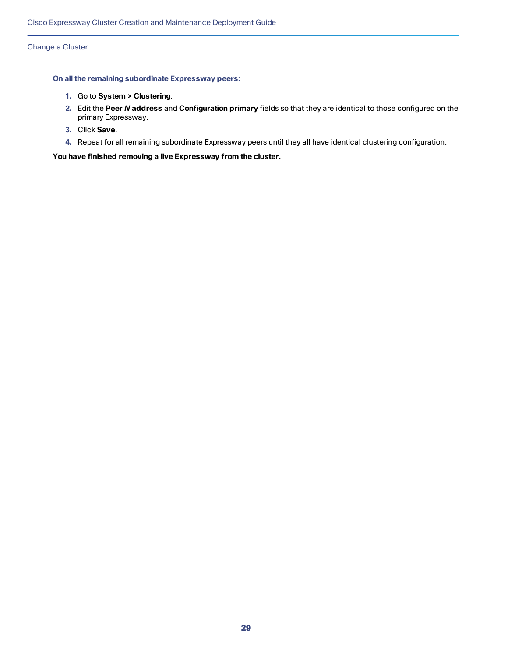#### **On all the remaining subordinate Expressway peers:**

- **1.** Go to **System > Clustering**.
- **2.** Edit the **Peer** *N* **address** and **Configuration primary** fields so that they are identical to those configured on the primary Expressway.
- **3.** Click **Save**.
- **4.** Repeat for all remaining subordinate Expressway peers until they all have identical clustering configuration.

**You have finished removing a live Expressway from the cluster.**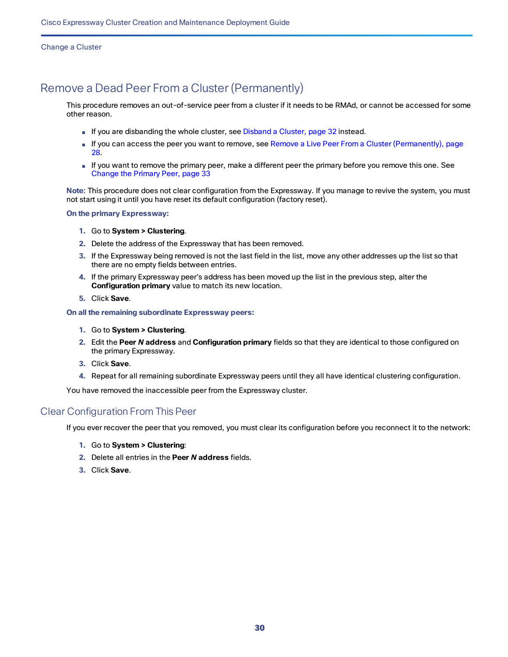# <span id="page-29-0"></span>Remove a Dead Peer From a Cluster (Permanently)

This procedure removes an out-of-service peer from a cluster if it needs to be RMAd, or cannot be accessed for some other reason.

- If you are disbanding the whole cluster, see Disband [a Cluster,](#page-31-0) page 32 instead.
- If you can access the peer you want to remove, see Remove a Live Peer From a Cluster [\(Permanently\),](#page-27-0) page [28.](#page-27-0)
- If you want to remove the primary peer, make a different peer the primary before you remove this one. See [Change](#page-32-0) the Primary Peer, page 33

**Note**: This procedure does not clear configuration from the Expressway. If you manage to revive the system, you must not start using it until you have reset its default configuration (factory reset).

#### **On the primary Expressway:**

- **1.** Go to **System > Clustering**.
- **2.** Delete the address of the Expressway that has been removed.
- **3.** If the Expressway being removed is not the last field in the list, move any other addresses up the list so that there are no empty fields between entries.
- **4.** If the primary Expressway peer's address has been moved up the list in the previous step, alter the **Configuration primary** value to match its new location.
- **5.** Click **Save**.

#### **On all the remaining subordinate Expressway peers:**

- **1.** Go to **System > Clustering**.
- **2.** Edit the **Peer** *N* **address** and **Configuration primary** fields so that they are identical to those configured on the primary Expressway.
- **3.** Click **Save**.
- **4.** Repeat for all remaining subordinate Expressway peers until they all have identical clustering configuration.

You have removed the inaccessible peer from the Expressway cluster.

### Clear Configuration From This Peer

If you ever recover the peer that you removed, you must clear its configuration before you reconnect it to the network:

- **1.** Go to **System > Clustering**:
- **2.** Delete all entries in the **Peer** *N* **address** fields.
- **3.** Click **Save**.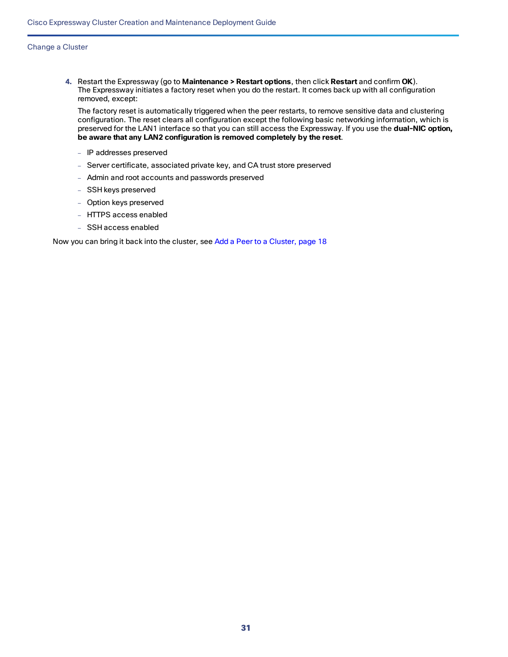**4.** Restart the Expressway (go to **Maintenance > Restart options**, then click **Restart** and confirm **OK**). The Expressway initiates a factory reset when you do the restart. It comes back up with all configuration removed, except:

The factory reset is automatically triggered when the peer restarts, to remove sensitive data and clustering configuration. The reset clears all configuration except the following basic networking information, which is preserved for the LAN1 interface so that you can still access the Expressway. If you use the **dual-NIC option, be aware that any LAN2 configuration is removed completely by the reset**.

- IP addresses preserved
- Server certificate, associated private key, and CA trust store preserved
- Admin and root accounts and passwords preserved
- SSH keys preserved
- Option keys preserved
- HTTPS access enabled
- SSH access enabled

Now you can bring it back into the cluster, see Add a Peer to a [Cluster,](#page-17-0) page 18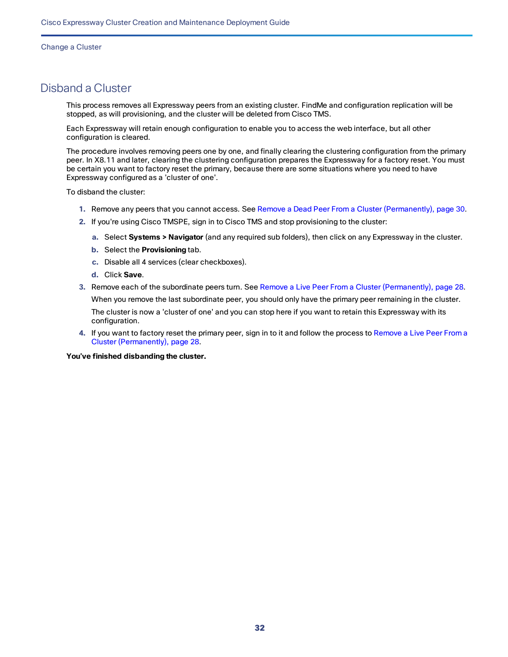# <span id="page-31-0"></span>Disband a Cluster

This process removes all Expressway peers from an existing cluster. FindMe and configuration replication will be stopped, as will provisioning, and the cluster will be deleted from Cisco TMS.

Each Expressway will retain enough configuration to enable you to access the web interface, but all other configuration is cleared.

The procedure involves removing peers one by one, and finally clearing the clustering configuration from the primary peer. In X8.11 and later, clearing the clustering configuration prepares the Expressway for a factory reset. You must be certain you want to factory reset the primary, because there are some situations where you need to have Expressway configured as a 'cluster of one'.

To disband the cluster:

- **1.** Remove any peers that you cannot access. See Remove a Dead Peer From a Cluster [\(Permanently\),](#page-29-0) page 30.
- **2.** If you're using Cisco TMSPE, sign in to Cisco TMS and stop provisioning to the cluster:
	- **a.** Select **Systems > Navigator** (and any required sub folders), then click on any Expressway in the cluster.
	- **b.** Select the **Provisioning** tab.
	- **c.** Disable all 4 services (clear checkboxes).
	- **d.** Click **Save**.
- **3.** Remove each of the subordinate peers turn. See Remove a Live Peer From a Cluster [\(Permanently\),](#page-27-0) page 28.

When you remove the last subordinate peer, you should only have the primary peer remaining in the cluster. The cluster is now a 'cluster of one' and you can stop here if you want to retain this Expressway with its configuration.

**4.** If you want to factory reset the primary peer, sign in to it and follow the process to [Remove](#page-27-0) a Live Peer From a Cluster [\(Permanently\),](#page-27-0) page 28.

**You've finished disbanding the cluster.**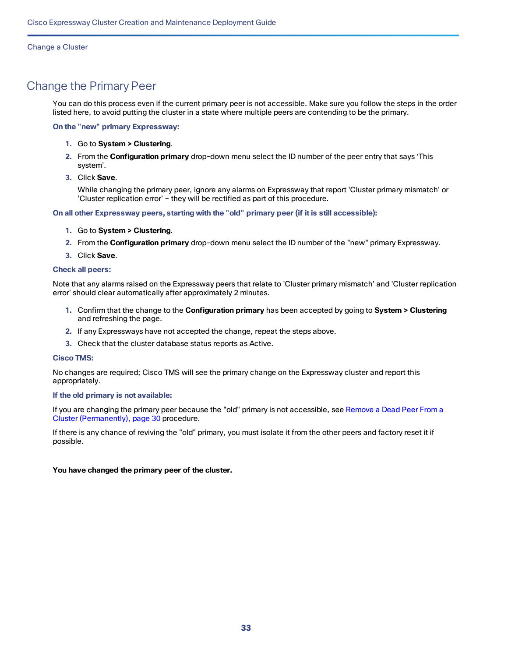# <span id="page-32-0"></span>Change the Primary Peer

You can do this process even if the current primary peer is not accessible. Make sure you follow the steps in the order listed here, to avoid putting the cluster in a state where multiple peers are contending to be the primary.

#### **On the "new" primary Expressway:**

- **1.** Go to **System > Clustering**.
- **2.** From the **Configuration primary** drop-down menu select the ID number of the peer entry that says 'This system'.
- **3.** Click **Save**.

While changing the primary peer, ignore any alarms on Expressway that report 'Cluster primary mismatch' or 'Cluster replication error' – they will be rectified as part of this procedure.

**On all other Expressway peers, starting with the "old" primary peer (if it is still accessible):**

- **1.** Go to **System > Clustering**.
- **2.** From the **Configuration primary** drop-down menu select the ID number of the "new" primary Expressway.
- **3.** Click **Save**.

#### **Check all peers:**

Note that any alarms raised on the Expressway peers that relate to 'Cluster primary mismatch' and 'Cluster replication error' should clear automatically after approximately 2 minutes.

- **1.** Confirm that the change to the **Configuration primary** has been accepted by going to **System > Clustering** and refreshing the page.
- **2.** If any Expressways have not accepted the change, repeat the steps above.
- **3.** Check that the cluster database status reports as Active.

#### **Cisco TMS:**

No changes are required; Cisco TMS will see the primary change on the Expressway cluster and report this appropriately.

#### **If the old primary is not available:**

If you are changing the primary peer because the "old" primary is not accessible, see [Remove](#page-29-0) a Dead Peer From a Cluster [\(Permanently\),](#page-29-0) page 30 procedure.

If there is any chance of reviving the "old" primary, you must isolate it from the other peers and factory reset it if possible.

#### **You have changed the primary peer of the cluster.**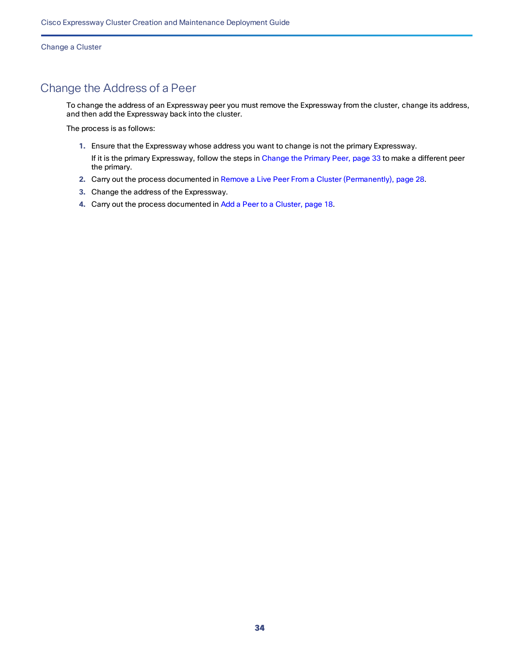# <span id="page-33-0"></span>Change the Address of a Peer

To change the address of an Expressway peer you must remove the Expressway from the cluster, change its address, and then add the Expressway back into the cluster.

The process is as follows:

**1.** Ensure that the Expressway whose address you want to change is not the primary Expressway.

If it is the primary Expressway, follow the steps in [Change](#page-32-0) the Primary Peer, page 33 to make a different peer the primary.

- **2.** Carry out the process documented in Remove a Live Peer From a Cluster [\(Permanently\),](#page-27-0) page 28.
- **3.** Change the address of the Expressway.
- **4.** Carry out the process documented in Add a Peer to a [Cluster,](#page-17-0) page 18.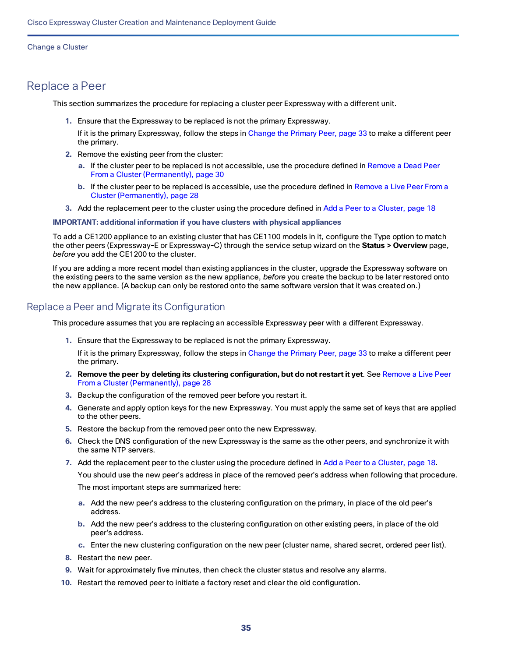# <span id="page-34-0"></span>Replace a Peer

This section summarizes the procedure for replacing a cluster peer Expressway with a different unit.

- **1.** Ensure that the Expressway to be replaced is not the primary Expressway.
- If it is the primary Expressway, follow the steps in [Change](#page-32-0) the Primary Peer, page 33 to make a different peer the primary.
- **2.** Remove the existing peer from the cluster:
	- **a.** If the cluster peer to be replaced is not accessible, use the procedure defined in [Remove](#page-29-0) a Dead Peer From a Cluster [\(Permanently\),](#page-29-0) page 30
	- **b.** If the cluster peer to be replaced is accessible, use the procedure defined in [Remove](#page-27-0) a Live Peer From a Cluster [\(Permanently\),](#page-27-0) page 28
- **3.** Add the replacement peer to the cluster using the procedure defined in Add a Peer to a [Cluster,](#page-17-0) page 18

**IMPORTANT: additional information if you have clusters with physical appliances**

To add a CE1200 appliance to an existing cluster that has CE1100 models in it, configure the Type option to match the other peers (Expressway-E or Expressway-C) through the service setup wizard on the **Status > Overview** page, *before* you add the CE1200 to the cluster.

If you are adding a more recent model than existing appliances in the cluster, upgrade the Expressway software on the existing peers to the same version as the new appliance, *before* you create the backup to be later restored onto the new appliance. (A backup can only be restored onto the same software version that it was created on.)

### Replace a Peer and Migrate its Configuration

This procedure assumes that you are replacing an accessible Expressway peer with a different Expressway.

- **1.** Ensure that the Expressway to be replaced is not the primary Expressway.
	- If it is the primary Expressway, follow the steps in [Change](#page-32-0) the Primary Peer, page 33 to make a different peer the primary.
- **2. Remove the peer by deleting its clustering configuration, but do not restart it yet**. See [Remove](#page-27-0) a Live Peer From a Cluster [\(Permanently\),](#page-27-0) page 28
- **3.** Backup the configuration of the removed peer before you restart it.
- **4.** Generate and apply option keys for the new Expressway. You must apply the same set of keys that are applied to the other peers.
- **5.** Restore the backup from the removed peer onto the new Expressway.
- **6.** Check the DNS configuration of the new Expressway is the same as the other peers, and synchronize it with the same NTP servers.
- **7.** Add the replacement peer to the cluster using the procedure defined in Add a Peer to a [Cluster,](#page-17-0) page 18.

You should use the new peer's address in place of the removed peer's address when following that procedure. The most important steps are summarized here:

- **a.** Add the new peer's address to the clustering configuration on the primary, in place of the old peer's address.
- **b.** Add the new peer's address to the clustering configuration on other existing peers, in place of the old peer's address.
- **c.** Enter the new clustering configuration on the new peer (cluster name, shared secret, ordered peer list).
- **8.** Restart the new peer.
- **9.** Wait for approximately five minutes, then check the cluster status and resolve any alarms.
- **10.** Restart the removed peer to initiate a factory reset and clear the old configuration.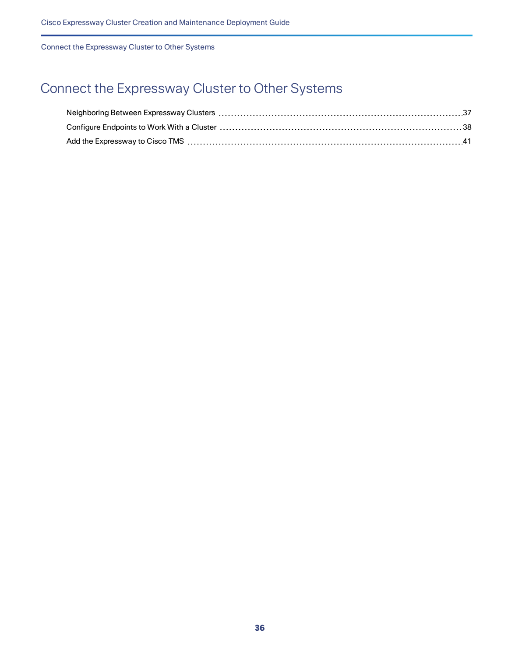# <span id="page-35-0"></span>Connect the Expressway Cluster to Other Systems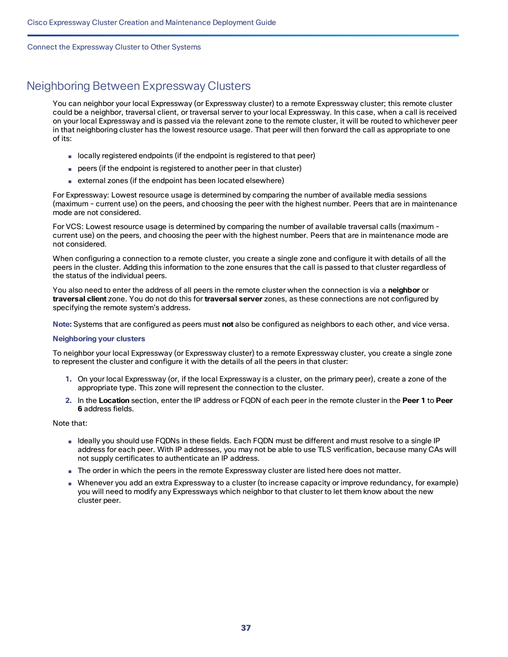# <span id="page-36-0"></span>Neighboring Between Expressway Clusters

You can neighbor your local Expressway (or Expressway cluster) to a remote Expressway cluster; this remote cluster could be a neighbor, traversal client, or traversal server to your local Expressway. In this case, when a call is received on your local Expressway and is passed via the relevant zone to the remote cluster, it will be routed to whichever peer in that neighboring cluster has the lowest resource usage. That peer will then forward the call as appropriate to one of its:

- locally registered endpoints (if the endpoint is registered to that peer)
- peers (if the endpoint is registered to another peer in that cluster)
- external zones (if the endpoint has been located elsewhere)

For Expressway: Lowest resource usage is determined by comparing the number of available media sessions (maximum - current use) on the peers, and choosing the peer with the highest number. Peers that are in maintenance mode are not considered.

For VCS: Lowest resource usage is determined by comparing the number of available traversal calls (maximum current use) on the peers, and choosing the peer with the highest number. Peers that are in maintenance mode are not considered.

When configuring a connection to a remote cluster, you create a single zone and configure it with details of all the peers in the cluster. Adding this information to the zone ensures that the call is passed to that cluster regardless of the status of the individual peers.

You also need to enter the address of all peers in the remote cluster when the connection is via a **neighbor** or **traversal client** zone. You do not do this for **traversal server** zones, as these connections are not configured by specifying the remote system's address.

**Note:** Systems that are configured as peers must **not** also be configured as neighbors to each other, and vice versa.

#### **Neighboring your clusters**

To neighbor your local Expressway (or Expressway cluster) to a remote Expressway cluster, you create a single zone to represent the cluster and configure it with the details of all the peers in that cluster:

- **1.** On your local Expressway (or, if the local Expressway is a cluster, on the primary peer), create a zone of the appropriate type. This zone will represent the connection to the cluster.
- **2.** In the **Location** section, enter the IP address or FQDN of each peer in the remote cluster in the **Peer 1** to **Peer 6** address fields.

Note that:

- Ideally you should use FQDNs in these fields. Each FQDN must be different and must resolve to a single IP address for each peer. With IP addresses, you may not be able to use TLS verification, because many CAs will not supply certificates to authenticate an IP address.
- The order in which the peers in the remote Expressway cluster are listed here does not matter.
- Whenever you add an extra Expressway to a cluster (to increase capacity or improve redundancy, for example) you will need to modify any Expressways which neighbor to that cluster to let them know about the new cluster peer.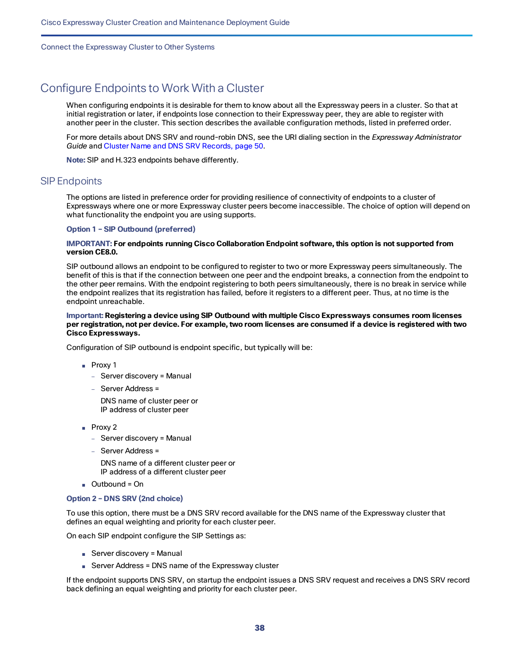# <span id="page-37-0"></span>Configure Endpoints to Work With a Cluster

When configuring endpoints it is desirable for them to know about all the Expressway peers in a cluster. So that at initial registration or later, if endpoints lose connection to their Expressway peer, they are able to register with another peer in the cluster. This section describes the available configuration methods, listed in preferred order.

For more details about DNS SRV and round-robin DNS, see the URI dialing section in the *Expressway Administrator Guide* and Cluster Name and DNS SRV [Records,](#page-49-0) page 50.

**Note:** SIP and H.323 endpoints behave differently.

### SIP Endpoints

The options are listed in preference order for providing resilience of connectivity of endpoints to a cluster of Expressways where one or more Expressway cluster peers become inaccessible. The choice of option will depend on what functionality the endpoint you are using supports.

**Option 1 – SIP Outbound (preferred)**

#### **IMPORTANT: For endpoints running Cisco Collaboration Endpoint software, this option is not supported from version CE8.0.**

SIP outbound allows an endpoint to be configured to register to two or more Expressway peers simultaneously. The benefit of this is that if the connection between one peer and the endpoint breaks, a connection from the endpoint to the other peer remains. With the endpoint registering to both peers simultaneously, there is no break in service while the endpoint realizes that its registration has failed, before it registers to a different peer. Thus, at no time is the endpoint unreachable.

#### **Important: Registering a device using SIP Outbound with multiple Cisco Expressways consumes room licenses** per registration, not per device. For example, two room licenses are consumed if a device is registered with two **Cisco Expressways.**

Configuration of SIP outbound is endpoint specific, but typically will be:

- Proxy 1
	- Server discovery = Manual
	- Server Address =

DNS name of cluster peer or IP address of cluster peer

- Proxy 2
	- Server discovery = Manual
	- Server Address =

DNS name of a different cluster peer or IP address of a different cluster peer

■ Outbound = On

#### **Option 2 – DNS SRV (2nd choice)**

To use this option, there must be a DNS SRV record available for the DNS name of the Expressway cluster that defines an equal weighting and priority for each cluster peer.

On each SIP endpoint configure the SIP Settings as:

- Server discovery = Manual
- Server Address = DNS name of the Expressway cluster

If the endpoint supports DNS SRV, on startup the endpoint issues a DNS SRV request and receives a DNS SRV record back defining an equal weighting and priority for each cluster peer.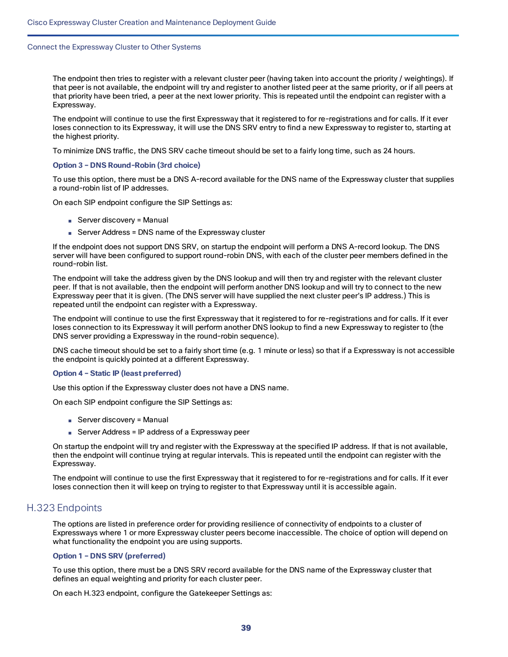The endpoint then tries to register with a relevant cluster peer (having taken into account the priority / weightings). If that peer is not available, the endpoint will try and register to another listed peer at the same priority, or if all peers at that priority have been tried, a peer at the next lower priority. This is repeated until the endpoint can register with a Expressway.

The endpoint will continue to use the first Expressway that it registered to for re-registrations and for calls. If it ever loses connection to its Expressway, it will use the DNS SRV entry to find a new Expressway to register to, starting at the highest priority.

To minimize DNS traffic, the DNS SRV cache timeout should be set to a fairly long time, such as 24 hours.

#### **Option 3 – DNS Round-Robin (3rd choice)**

To use this option, there must be a DNS A-record available for the DNS name of the Expressway cluster that supplies a round-robin list of IP addresses.

On each SIP endpoint configure the SIP Settings as:

- Server discovery = Manual
- Server Address = DNS name of the Expressway cluster

If the endpoint does not support DNS SRV, on startup the endpoint will perform a DNS A-record lookup. The DNS server will have been configured to support round-robin DNS, with each of the cluster peer members defined in the round-robin list.

The endpoint will take the address given by the DNS lookup and will then try and register with the relevant cluster peer. If that is not available, then the endpoint will perform another DNS lookup and will try to connect to the new Expressway peer that it is given. (The DNS server will have supplied the next cluster peer's IP address.) This is repeated until the endpoint can register with a Expressway.

The endpoint will continue to use the first Expressway that it registered to for re-registrations and for calls. If it ever loses connection to its Expressway it will perform another DNS lookup to find a new Expressway to register to (the DNS server providing a Expressway in the round-robin sequence).

DNS cache timeout should be set to a fairly short time (e.g. 1 minute or less) so that if a Expressway is not accessible the endpoint is quickly pointed at a different Expressway.

#### **Option 4 – Static IP (least preferred)**

Use this option if the Expressway cluster does not have a DNS name.

On each SIP endpoint configure the SIP Settings as:

- Server discovery = Manual
- Server Address = IP address of a Expressway peer

On startup the endpoint will try and register with the Expressway at the specified IP address. If that is not available, then the endpoint will continue trying at regular intervals. This is repeated until the endpoint can register with the Expressway.

The endpoint will continue to use the first Expressway that it registered to for re-registrations and for calls. If it ever loses connection then it will keep on trying to register to that Expressway until it is accessible again.

### H.323 Endpoints

The options are listed in preference order for providing resilience of connectivity of endpoints to a cluster of Expressways where 1 or more Expressway cluster peers become inaccessible. The choice of option will depend on what functionality the endpoint you are using supports.

#### **Option 1 – DNS SRV (preferred)**

To use this option, there must be a DNS SRV record available for the DNS name of the Expressway cluster that defines an equal weighting and priority for each cluster peer.

On each H.323 endpoint, configure the Gatekeeper Settings as: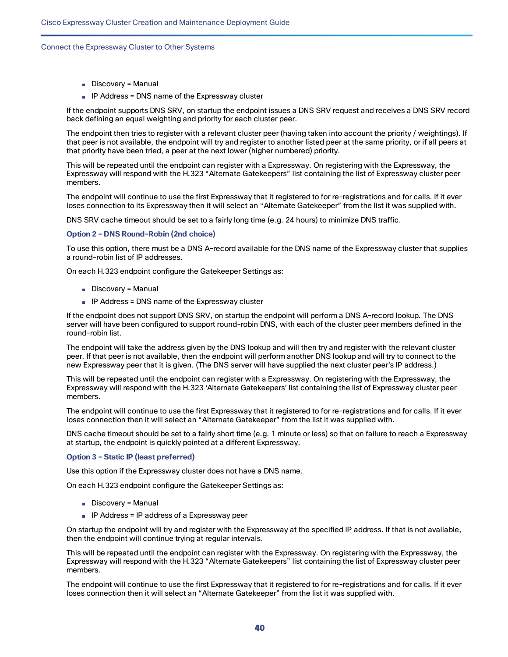- Discovery = Manual
- IP Address = DNS name of the Expressway cluster

If the endpoint supports DNS SRV, on startup the endpoint issues a DNS SRV request and receives a DNS SRV record back defining an equal weighting and priority for each cluster peer.

The endpoint then tries to register with a relevant cluster peer (having taken into account the priority / weightings). If that peer is not available, the endpoint will try and register to another listed peer at the same priority, or if all peers at that priority have been tried, a peer at the next lower (higher numbered) priority.

This will be repeated until the endpoint can register with a Expressway. On registering with the Expressway, the Expressway will respond with the H.323 "Alternate Gatekeepers" list containing the list of Expressway cluster peer members.

The endpoint will continue to use the first Expressway that it registered to for re-registrations and for calls. If it ever loses connection to its Expressway then it will select an "Alternate Gatekeeper" from the list it was supplied with.

DNS SRV cache timeout should be set to a fairly long time (e.g. 24 hours) to minimize DNS traffic.

#### **Option 2 – DNS Round-Robin (2nd choice)**

To use this option, there must be a DNS A-record available for the DNS name of the Expressway cluster that supplies a round-robin list of IP addresses.

On each H.323 endpoint configure the Gatekeeper Settings as:

- Discovery = Manual
- IP Address = DNS name of the Expressway cluster

If the endpoint does not support DNS SRV, on startup the endpoint will perform a DNS A-record lookup. The DNS server will have been configured to support round-robin DNS, with each of the cluster peer members defined in the round-robin list.

The endpoint will take the address given by the DNS lookup and will then try and register with the relevant cluster peer. If that peer is not available, then the endpoint will perform another DNS lookup and will try to connect to the new Expressway peer that it is given. (The DNS server will have supplied the next cluster peer's IP address.)

This will be repeated until the endpoint can register with a Expressway. On registering with the Expressway, the Expressway will respond with the H.323 'Alternate Gatekeepers' list containing the list of Expressway cluster peer members.

The endpoint will continue to use the first Expressway that it registered to for re-registrations and for calls. If it ever loses connection then it will select an "Alternate Gatekeeper" from the list it was supplied with.

DNS cache timeout should be set to a fairly short time (e.g. 1 minute or less) so that on failure to reach a Expressway at startup, the endpoint is quickly pointed at a different Expressway.

#### **Option 3 – Static IP (least preferred)**

Use this option if the Expressway cluster does not have a DNS name.

On each H.323 endpoint configure the Gatekeeper Settings as:

- Discovery = Manual
- IP Address = IP address of a Expressway peer

On startup the endpoint will try and register with the Expressway at the specified IP address. If that is not available, then the endpoint will continue trying at regular intervals.

This will be repeated until the endpoint can register with the Expressway. On registering with the Expressway, the Expressway will respond with the H.323 "Alternate Gatekeepers" list containing the list of Expressway cluster peer members.

The endpoint will continue to use the first Expressway that it registered to for re-registrations and for calls. If it ever loses connection then it will select an "Alternate Gatekeeper" from the list it was supplied with.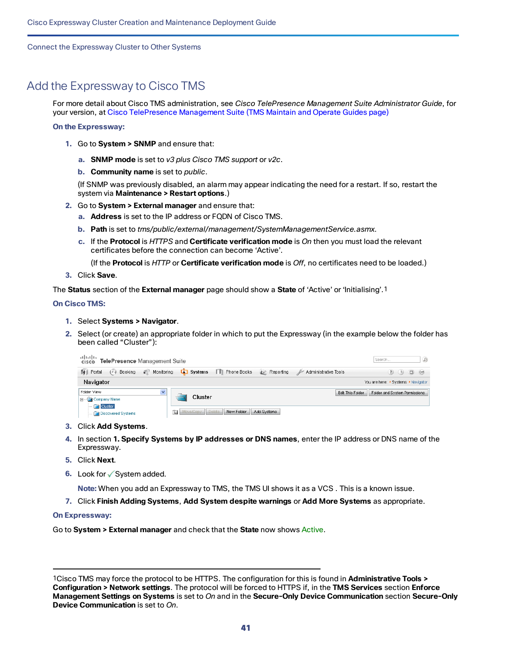# <span id="page-40-0"></span>Add the Expressway to Cisco TMS

For more detail about Cisco TMS administration, see *Cisco TelePresence Management Suite Administrator Guide*, for your version, at Cisco [TelePresence](https://www.cisco.com/c/en/us/support/conferencing/telepresence-management-suite-tms/products-maintenance-guides-list.html) Management Suite (TMS Maintain and Operate Guides page)

**On the Expressway:**

- **1.** Go to **System > SNMP** and ensure that:
	- **a. SNMP mode** is set to *v3 plus Cisco TMS support* or *v2c*.
	- **b. Community name** is set to *public*.

(If SNMP was previously disabled, an alarm may appear indicating the need for a restart. If so, restart the system via **Maintenance > Restart options**.)

- **2.** Go to **System > External manager** and ensure that:
	- **a. Address** is set to the IP address or FQDN of Cisco TMS.
	- **b. Path** is set to *tms/public/external/management/SystemManagementService.asmx*.
	- **c.** If the **Protocol** is *HTTPS* and **Certificate verification mode** is *On* then you must load the relevant certificates before the connection can become 'Active'.

(If the **Protocol** is *HTTP* or **Certificate verification mode** is *Off*, no certificates need to be loaded.)

**3.** Click **Save**.

The **Status** section of the **External manager** page should show a **State** of 'Active' or 'Initialising'.1

#### **On Cisco TMS:**

- **1.** Select **Systems > Navigator**.
- **2.** Select (or create) an appropriate folder in which to put the Expressway (in the example below the folder has been called "Cluster"):

| alulu<br>TelePresence Management Suite<br>CISCO   | $\Omega$<br>Search                                                                                    |                                                   |
|---------------------------------------------------|-------------------------------------------------------------------------------------------------------|---------------------------------------------------|
| €<br>ПH<br>Portal<br>Monitorina<br>Booking<br>(1) | $\Box$ Systems<br><b>T</b> Phone Books<br><b>E</b> Reporting<br>Administrative Tools<br>$\rightarrow$ | $\Box$<br>$\left( 2\right)$<br>$^{o}$<br>(L)      |
| Navigator                                         |                                                                                                       | You are here: • Systems • Navigator               |
| $\checkmark$<br>Folder View                       | Cluster                                                                                               | Folder and System Permissions<br>Edit This Folder |
| □ Company Name<br><b>Cluster</b>                  |                                                                                                       |                                                   |
| Discovered Systems                                | 宙<br>Move/Copy Delete<br>New Folder<br>Add Systems                                                    |                                                   |

- **3.** Click **Add Systems**.
- **4.** In section **1. Specify Systems by IP addresses or DNS names**, enter the IP address or DNS name of the Expressway.
- **5.** Click **Next**.
- **6.** Look for √System added.

**Note:** When you add an Expressway to TMS, the TMS UI shows it as a VCS . This is a known issue.

**7.** Click **Finish Adding Systems**, **Add System despite warnings** or **Add More Systems** as appropriate.

#### **On Expressway:**

Go to **System > External manager** and check that the **State** now shows Active.

<sup>1</sup>Cisco TMS may force the protocol to be HTTPS. The configuration for this is found in **Administrative Tools > Configuration > Network settings**. The protocol will be forced to HTTPS if, in the **TMS Services** section **Enforce Management Settings on Systems** is set to *On* and in the **Secure-Only Device Communication** section **Secure-Only Device Communication** is set to *On*.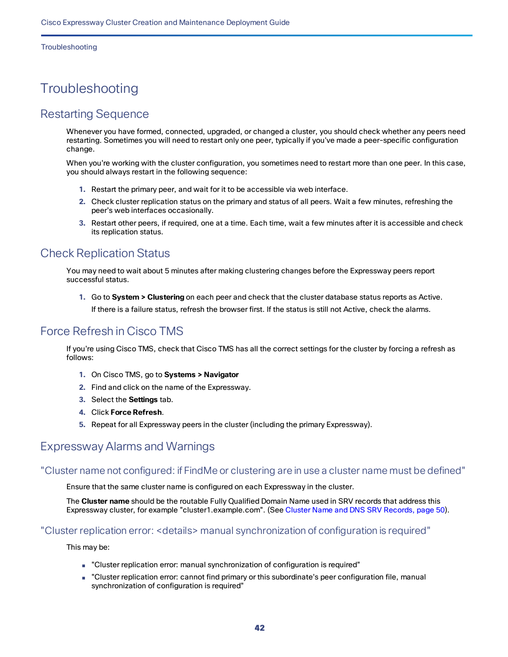#### Troubleshooting

# <span id="page-41-0"></span>**Troubleshooting**

# <span id="page-41-1"></span>Restarting Sequence

Whenever you have formed, connected, upgraded, or changed a cluster, you should check whether any peers need restarting. Sometimes you will need to restart only one peer, typically if you've made a peer-specific configuration change.

When you're working with the cluster configuration, you sometimes need to restart more than one peer. In this case, you should always restart in the following sequence:

- **1.** Restart the primary peer, and wait for it to be accessible via web interface.
- **2.** Check cluster replication status on the primary and status of all peers. Wait a few minutes, refreshing the peer's web interfaces occasionally.
- **3.** Restart other peers, if required, one at a time. Each time, wait a few minutes after it is accessible and check its replication status.

# <span id="page-41-2"></span>Check Replication Status

You may need to wait about 5 minutes after making clustering changes before the Expressway peers report successful status.

**1.** Go to **System > Clustering** on each peer and check that the cluster database status reports as Active. If there is a failure status, refresh the browser first. If the status is still not Active, check the alarms.

# <span id="page-41-3"></span>Force Refresh in Cisco TMS

If you're using Cisco TMS, check that Cisco TMS has all the correct settings for the cluster by forcing a refresh as follows:

- **1.** On Cisco TMS, go to **Systems > Navigator**
- **2.** Find and click on the name of the Expressway.
- **3.** Select the **Settings** tab.
- **4.** Click **Force Refresh**.
- **5.** Repeat for all Expressway peers in the cluster (including the primary Expressway).

# <span id="page-41-4"></span>Expressway Alarms and Warnings

### "Cluster name not configured: if FindMe or clustering are in use a cluster name must be defined"

Ensure that the same cluster name is configured on each Expressway in the cluster.

The **Cluster name** should be the routable Fully Qualified Domain Name used in SRV records that address this Expressway cluster, for example "cluster1.example.com". (See Cluster Name and DNS SRV [Records,](#page-49-0) page 50).

### "Cluster replication error: <details> manual synchronization of configuration is required"

This may be:

- "Cluster replication error: manual synchronization of configuration is required"
- "Cluster replication error: cannot find primary or this subordinate's peer configuration file, manual synchronization of configuration is required"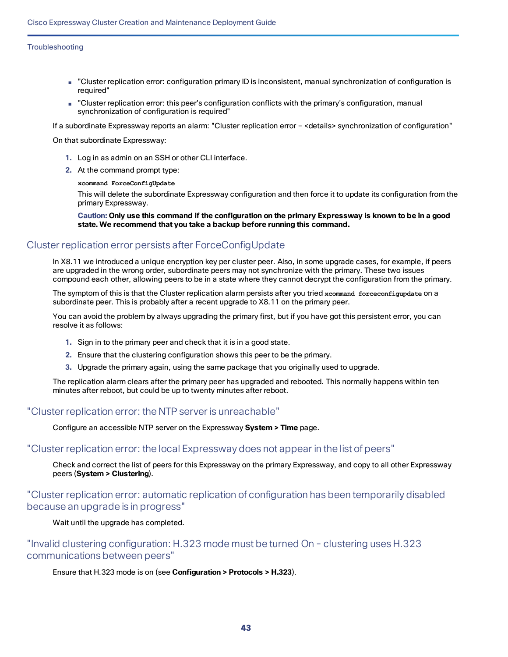#### **Troubleshooting**

- "Cluster replication error: configuration primary ID is inconsistent, manual synchronization of configuration is required"
- "Cluster replication error: this peer's configuration conflicts with the primary's configuration, manual synchronization of configuration is required"

If a subordinate Expressway reports an alarm: "Cluster replication error – <details> synchronization of configuration"

On that subordinate Expressway:

- **1.** Log in as admin on an SSH or other CLI interface.
- **2.** At the command prompt type:

#### **xcommand ForceConfigUpdate**

This will delete the subordinate Expressway configuration and then force it to update its configuration from the primary Expressway.

Caution: Only use this command if the configuration on the primary Expressway is known to be in a good **state. We recommend that you take a backup before running this command.**

### Cluster replication error persists after ForceConfigUpdate

In X8.11 we introduced a unique encryption key per cluster peer. Also, in some upgrade cases, for example, if peers are upgraded in the wrong order, subordinate peers may not synchronize with the primary. These two issues compound each other, allowing peers to be in a state where they cannot decrypt the configuration from the primary.

The symptom of this is that the Cluster replication alarm persists after you tried **xcommand forceconfigupdate** on a subordinate peer. This is probably after a recent upgrade to X8.11 on the primary peer.

You can avoid the problem by always upgrading the primary first, but if you have got this persistent error, you can resolve it as follows:

- **1.** Sign in to the primary peer and check that it is in a good state.
- **2.** Ensure that the clustering configuration shows this peer to be the primary.
- **3.** Upgrade the primary again, using the same package that you originally used to upgrade.

The replication alarm clears after the primary peer has upgraded and rebooted. This normally happens within ten minutes after reboot, but could be up to twenty minutes after reboot.

### "Cluster replication error: the NTP server is unreachable"

Configure an accessible NTP server on the Expressway **System > Time** page.

### "Cluster replication error: the local Expressway does not appear in the list of peers"

Check and correct the list of peers for this Expressway on the primary Expressway, and copy to all other Expressway peers (**System > Clustering**).

# "Cluster replication error: automatic replication of configuration has been temporarily disabled because an upgrade is in progress"

Wait until the upgrade has completed.

"Invalid clustering configuration: H.323 mode must be turned On - clustering uses H.323 communications between peers"

#### Ensure that H.323 mode is on (see **Configuration > Protocols > H.323**).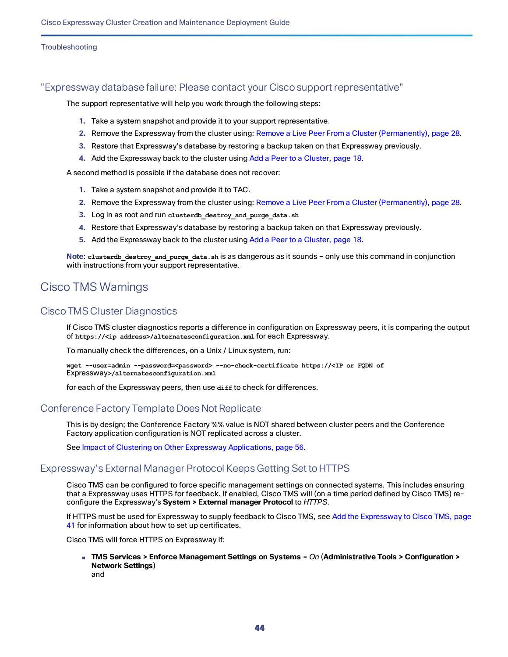Troubleshooting

### "Expressway database failure: Please contact your Cisco support representative"

The support representative will help you work through the following steps:

- **1.** Take a system snapshot and provide it to your support representative.
- **2.** Remove the Expressway from the cluster using: Remove a Live Peer From a Cluster [\(Permanently\),](#page-27-0) page 28.
- **3.** Restore that Expressway's database by restoring a backup taken on that Expressway previously.
- **4.** Add the Expressway back to the cluster using Add a Peer to a [Cluster,](#page-17-0) page 18.

A second method is possible if the database does not recover:

- **1.** Take a system snapshot and provide it to TAC.
- **2.** Remove the Expressway from the cluster using: Remove a Live Peer From a Cluster [\(Permanently\),](#page-27-0) page 28.
- **3.** Log in as root and run **clusterdb\_destroy\_and\_purge\_data.sh**
- **4.** Restore that Expressway's database by restoring a backup taken on that Expressway previously.
- **5.** Add the Expressway back to the cluster using Add a Peer to a [Cluster,](#page-17-0) page 18.

**Note**: **clusterdb\_destroy\_and\_purge\_data.sh** is as dangerous as it sounds – only use this command in conjunction with instructions from your support representative.

# <span id="page-43-0"></span>Cisco TMS Warnings

### Cisco TMS Cluster Diagnostics

If Cisco TMS cluster diagnostics reports a difference in configuration on Expressway peers, it is comparing the output of **https://<ip address>/alternatesconfiguration.xml** for each Expressway.

To manually check the differences, on a Unix / Linux system, run:

**wget --user=admin --password=<password> --no-check-certificate https://<IP or FQDN of** Expressway**>/alternatesconfiguration.xml**

for each of the Expressway peers, then use diff to check for differences.

### Conference Factory Template Does Not Replicate

This is by design; the Conference Factory %% value is NOT shared between cluster peers and the Conference Factory application configuration is NOT replicated across a cluster.

See Impact of Clustering on Other Expressway [Applications,](#page-55-0) page 56.

### Expressway's External Manager Protocol Keeps Getting Set to HTTPS

Cisco TMS can be configured to force specific management settings on connected systems. This includes ensuring that a Expressway uses HTTPS for feedback. If enabled, Cisco TMS will (on a time period defined by Cisco TMS) reconfigure the Expressway's **System > External manager Protocol** to *HTTPS*.

If HTTPS must be used for Expressway to supply feedback to Cisco TMS, see Add the [Expressway](#page-40-0) to Cisco TMS, page [41](#page-40-0) for information about how to set up certificates.

Cisco TMS will force HTTPS on Expressway if:

■ **TMS Services > Enforce Management Settings on Systems** = *On* (**Administrative Tools > Configuration > Network Settings**) and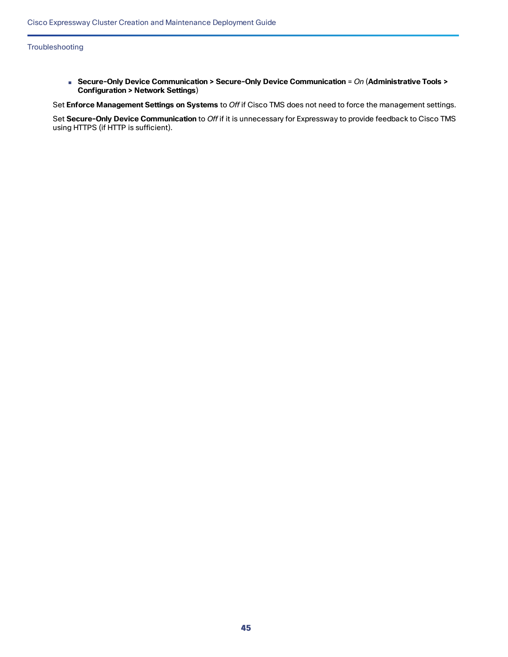■ **Secure-Only Device Communication > Secure-Only Device Communication** = *On* (**Administrative Tools > Configuration > Network Settings**)

Set **Enforce Management Settings on Systems** to *Off* if Cisco TMS does not need to force the management settings.

Set **Secure-Only Device Communication** to *Off* if it is unnecessary for Expressway to provide feedback to Cisco TMS using HTTPS (if HTTP is sufficient).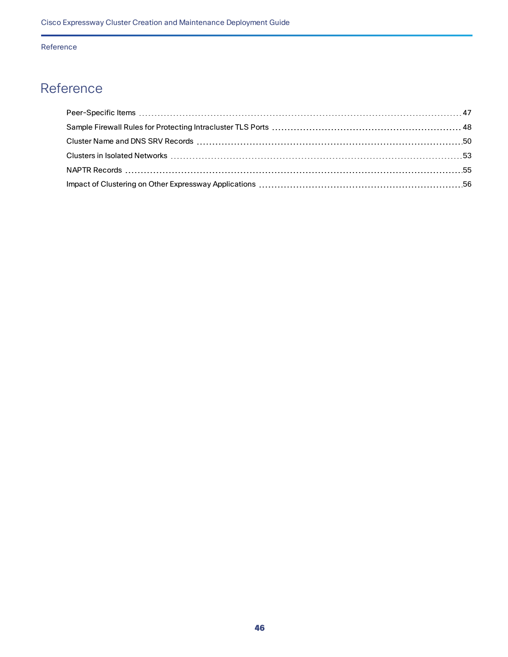# <span id="page-45-0"></span>Reference

| $\blacksquare$ MAPTR Records $\blacksquare$ |  |
|---------------------------------------------|--|
|                                             |  |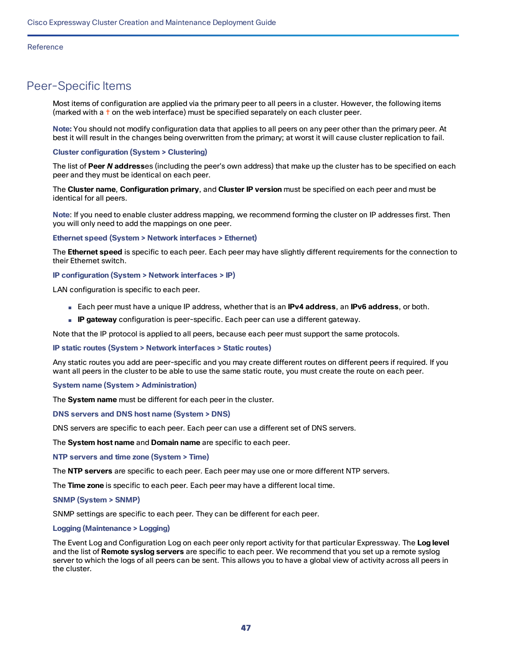# <span id="page-46-0"></span>Peer-Specific Items

Most items of configuration are applied via the primary peer to all peers in a cluster. However, the following items (marked with a  $\dagger$  on the web interface) must be specified separately on each cluster peer.

**Note:** You should not modify configuration data that applies to all peers on any peer other than the primary peer. At best it will result in the changes being overwritten from the primary; at worst it will cause cluster replication to fail.

#### **Cluster configuration (System > Clustering)**

The list of **Peer** *N* **address**es (including the peer's own address) that make up the cluster has to be specified on each peer and they must be identical on each peer.

The **Cluster name**, **Configuration primary**, and **Cluster IP version** must be specified on each peer and must be identical for all peers.

**Note**: If you need to enable cluster address mapping, we recommend forming the cluster on IP addresses first. Then you will only need to add the mappings on one peer.

#### **Ethernet speed (System > Network interfaces > Ethernet)**

The **Ethernet speed** is specific to each peer. Each peer may have slightly different requirements for the connection to their Ethernet switch.

#### **IP configuration (System > Network interfaces > IP)**

LAN configuration is specific to each peer.

- Each peer must have a unique IP address, whether that is an **IPv4 address**, an **IPv6 address**, or both.
- **IP gateway** configuration is peer-specific. Each peer can use a different gateway.

Note that the IP protocol is applied to all peers, because each peer must support the same protocols.

**IP static routes (System > Network interfaces > Static routes)**

Any static routes you add are peer-specific and you may create different routes on different peers if required. If you want all peers in the cluster to be able to use the same static route, you must create the route on each peer.

#### **System name (System > Administration)**

The **System name** must be different for each peer in the cluster.

#### **DNS servers and DNS host name (System > DNS)**

DNS servers are specific to each peer. Each peer can use a different set of DNS servers.

The **System host name** and **Domain name** are specific to each peer.

#### **NTP servers and time zone (System > Time)**

The **NTP servers** are specific to each peer. Each peer may use one or more different NTP servers.

The **Time zone** is specific to each peer. Each peer may have a different local time.

#### **SNMP (System > SNMP)**

SNMP settings are specific to each peer. They can be different for each peer.

#### **Logging (Maintenance > Logging)**

The Event Log and Configuration Log on each peer only report activity for that particular Expressway. The **Log level** and the list of **Remote syslog servers** are specific to each peer. We recommend that you set up a remote syslog server to which the logs of all peers can be sent. This allows you to have a global view of activity across all peers in the cluster.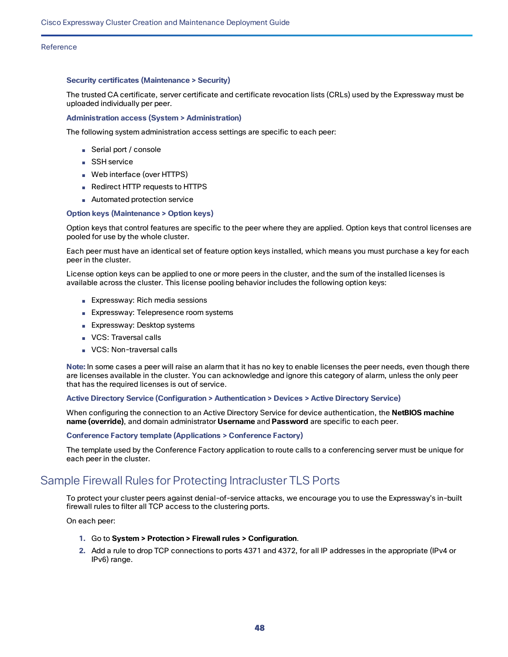#### **Security certificates (Maintenance > Security)**

The trusted CA certificate, server certificate and certificate revocation lists (CRLs) used by the Expressway must be uploaded individually per peer.

#### **Administration access (System > Administration)**

The following system administration access settings are specific to each peer:

- Serial port / console
- SSH service
- Web interface (over HTTPS)
- Redirect HTTP requests to HTTPS
- Automated protection service

#### **Option keys (Maintenance > Option keys)**

Option keys that control features are specific to the peer where they are applied. Option keys that control licenses are pooled for use by the whole cluster.

Each peer must have an identical set of feature option keys installed, which means you must purchase a key for each peer in the cluster.

License option keys can be applied to one or more peers in the cluster, and the sum of the installed licenses is available across the cluster. This license pooling behavior includes the following option keys:

- Expressway: Rich media sessions
- Expressway: Telepresence room systems
- Expressway: Desktop systems
- VCS: Traversal calls
- VCS: Non-traversal calls

**Note:** In some cases a peer will raise an alarm that it has no key to enable licenses the peer needs, even though there are licenses available in the cluster. You can acknowledge and ignore this category of alarm, unless the only peer that has the required licenses is out of service.

**Active Directory Service (Configuration > Authentication > Devices > Active Directory Service)**

When configuring the connection to an Active Directory Service for device authentication, the **NetBIOS machine name (override)**, and domain administrator **Username** and **Password** are specific to each peer.

#### **Conference Factory template (Applications > Conference Factory)**

The template used by the Conference Factory application to route calls to a conferencing server must be unique for each peer in the cluster.

# <span id="page-47-0"></span>Sample Firewall Rules for Protecting Intracluster TLS Ports

To protect your cluster peers against denial-of-service attacks, we encourage you to use the Expressway's in-built firewall rules to filter all TCP access to the clustering ports.

On each peer:

- **1.** Go to **System > Protection > Firewall rules > Configuration**.
- **2.** Add a rule to drop TCP connections to ports 4371 and 4372, for all IP addresses in the appropriate (IPv4 or IPv6) range.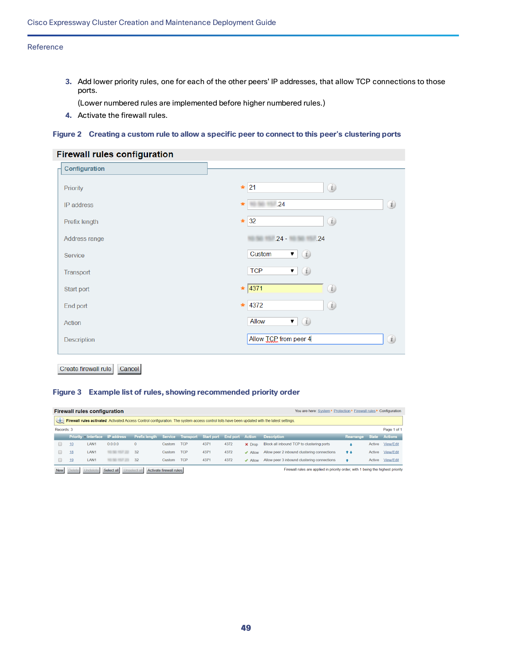**3.** Add lower priority rules, one for each of the other peers' IP addresses, that allow TCP connections to those ports.

(Lower numbered rules are implemented before higher numbered rules.)

**4.** Activate the firewall rules.

#### Figure 2 Creating a custom rule to allow a specific peer to connect to this peer's clustering ports

### **Firewall rules configuration**

| Configuration |                                                                          |
|---------------|--------------------------------------------------------------------------|
| Priority      | (i)<br>21<br>$\frac{d\mathbf{r}}{d\mathbf{r}}$                           |
| IP address    | (i)<br>$\overline{\phantom{0}}$ .24<br>$\frac{d\mathbf{r}}{d\mathbf{r}}$ |
| Prefix length | (i)<br>32<br>$\frac{d\mathbf{r}}{d\mathbf{r}}$                           |
| Address range | $.24 - 24$                                                               |
| Service       | $\bullet$ (i)<br>Custom                                                  |
| Transport     | $\bullet$ (i)<br><b>TCP</b>                                              |
| Start port    | (i)<br>$\star$ 4371                                                      |
| End port      | (i)<br>$* 4372$                                                          |
| Action        | $\bullet$ (i)<br>Allow                                                   |
| Description   | (i)<br>Allow TCP from peer 4                                             |
|               |                                                                          |

Create firewall rule Cancel

#### **Figure 3 Example list of rules, showing recommended priority order**

|            | <b>Firewall rules configuration</b><br>You are here: System ▶ Protection ▶ Firewall rules ▶ Configuration                                        |                  |                               |                                                            |        |            |      |      |                             |                                             |           |              |                |
|------------|--------------------------------------------------------------------------------------------------------------------------------------------------|------------------|-------------------------------|------------------------------------------------------------|--------|------------|------|------|-----------------------------|---------------------------------------------|-----------|--------------|----------------|
| $\Box$     | Firewall rules activated: Activated Access Control configuration. The system access control lists have been updated with the latest settings.    |                  |                               |                                                            |        |            |      |      |                             |                                             |           |              |                |
| Records: 3 |                                                                                                                                                  |                  |                               |                                                            |        |            |      |      |                             |                                             |           |              | Page 1 of 1    |
|            |                                                                                                                                                  |                  | Priority Interface IP address | Prefix length Service Transport Start port End port Action |        |            |      |      |                             | <b>Description</b>                          | Rearrange | <b>State</b> | <b>Actions</b> |
|            | 10                                                                                                                                               | LAN <sub>1</sub> | 0000                          | $\Omega$                                                   | Custom | <b>TCP</b> | 4371 | 4372 | $\times$ Drop               | Block all inbound TCP to clustering ports   |           | Active       | View/Edit      |
|            | 18                                                                                                                                               | LAN <sub>1</sub> |                               | 32                                                         | Custom | <b>TCP</b> | 4371 | 4372 | $\blacktriangleright$ Allow | Allow peer 2 inbound clustering connections | $+1$      | Active       | View/Edit      |
|            | 19                                                                                                                                               | LAN <sub>1</sub> | 10.50                         | 32                                                         | Custom | <b>TCP</b> | 4371 | 4372 | $\blacktriangleright$ Allow | Allow peer 3 inbound clustering connections |           | Active       | View/Edit      |
| <b>New</b> | Firewall rules are applied in priority order, with 1 being the highest priority<br>Select all<br>Activate firewall rules<br>Unselect a<br>Delete |                  |                               |                                                            |        |            |      |      |                             |                                             |           |              |                |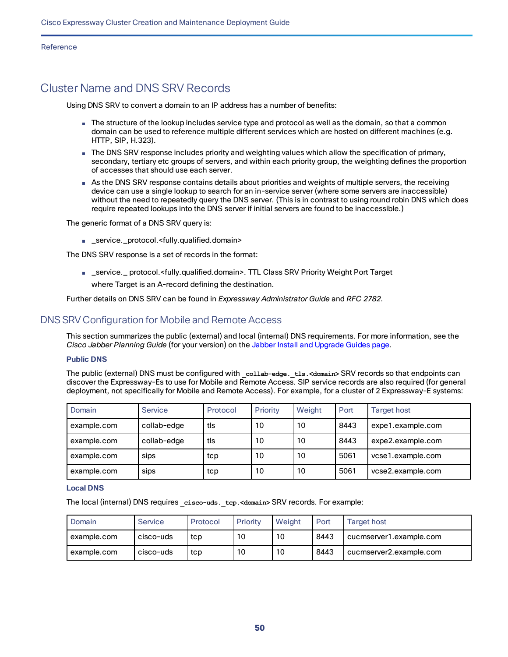# <span id="page-49-0"></span>Cluster Name and DNS SRV Records

Using DNS SRV to convert a domain to an IP address has a number of benefits:

- The structure of the lookup includes service type and protocol as well as the domain, so that a common domain can be used to reference multiple different services which are hosted on different machines (e.g. HTTP, SIP, H.323).
- The DNS SRV response includes priority and weighting values which allow the specification of primary, secondary, tertiary etc groups of servers, and within each priority group, the weighting defines the proportion of accesses that should use each server.
- As the DNS SRV response contains details about priorities and weights of multiple servers, the receiving device can use a single lookup to search for an in-service server (where some servers are inaccessible) without the need to repeatedly query the DNS server. (This is in contrast to using round robin DNS which does require repeated lookups into the DNS server if initial servers are found to be inaccessible.)

The generic format of a DNS SRV query is:

■ \_service.\_protocol.<fully.qualified.domain>

The DNS SRV response is a set of records in the format:

■ \_service.\_ protocol.<fully.qualified.domain>. TTL Class SRV Priority Weight Port Target where Target is an A-record defining the destination.

Further details on DNS SRV can be found in *Expressway Administrator Guide* and *RFC 2782*.

## DNS SRV Configuration for Mobile and Remote Access

This section summarizes the public (external) and local (internal) DNS requirements. For more information, see the *Cisco Jabber Planning Guide* (for your version) on the Jabber Install and [Upgrade](http://www.cisco.com/c/en/us/support/unified-communications/jabber-windows/products-installation-guides-list.html) Guides page.

#### **Public DNS**

The public (external) DNS must be configured with **\_collab-edge.\_tls.<domain>** SRV records so that endpoints can discover the Expressway-Es to use for Mobile and Remote Access. SIP service records are also required (for general deployment, not specifically for Mobile and Remote Access). For example, for a cluster of 2 Expressway-E systems:

| Domain      | Service     | Protocol | Priority | Weight | Port | <b>Target host</b> |
|-------------|-------------|----------|----------|--------|------|--------------------|
| example.com | collab-edge | tls      | 10       | 10     | 8443 | expe1.example.com  |
| example.com | collab-edge | tls      | 10       | 10     | 8443 | expe2.example.com  |
| example.com | sips        | tcp      | 10       | 10     | 5061 | vcse1.example.com  |
| example.com | sips        | tcp      | 10       | 10     | 5061 | vcse2.example.com  |

#### **Local DNS**

The local (internal) DNS requires **\_cisco-uds.\_tcp.<domain>** SRV records. For example:

| Domain      | Service   | Protocol | Priority | Weight | Port | <b>Target host</b>      |
|-------------|-----------|----------|----------|--------|------|-------------------------|
| example.com | cisco-uds | tcp      | 10       | 10     | 8443 | cucmserver1.example.com |
| example.com | cisco-uds | tcp      | 10       | 10     | 8443 | cucmserver2.example.com |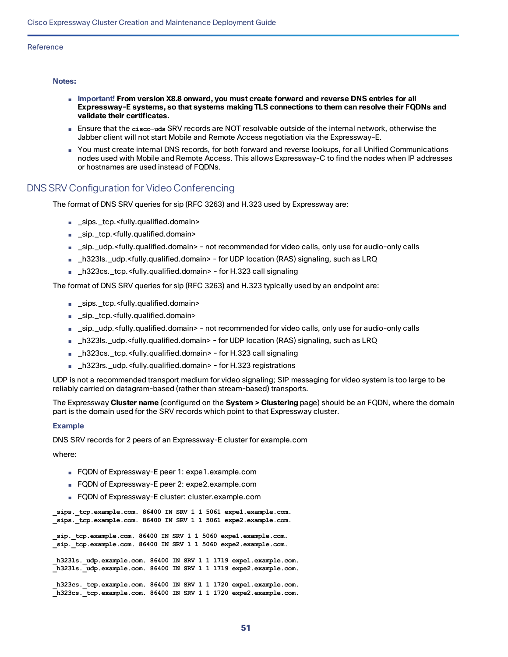#### **Notes:**

- **Important! From version X8.8 onward, you must create forward and reverse DNS entries for all Expressway-E systems, so that systems making TLS connections to them can resolve their FQDNs and validate their certificates.**
- Ensure that the **cisco-uds** SRV records are NOT resolvable outside of the internal network, otherwise the Jabber client will not start Mobile and Remote Access negotiation via the Expressway-E.
- You must create internal DNS records, for both forward and reverse lookups, for all Unified Communications nodes used with Mobile and Remote Access. This allows Expressway-C to find the nodes when IP addresses or hostnames are used instead of FQDNs.

### DNS SRV Configuration for Video Conferencing

The format of DNS SRV queries for sip (RFC 3263) and H.323 used by Expressway are:

- \_sips.\_tcp.<fully.qualified.domain>
- \_sip.\_tcp.<fully.qualified.domain>
- \_sip.\_udp.<fully.qualified.domain> not recommended for video calls, only use for audio-only calls
- \_h323ls.\_udp.<fully.qualified.domain> for UDP location (RAS) signaling, such as LRQ
- \_h323cs.\_tcp.<fully.qualified.domain> for H.323 call signaling

The format of DNS SRV queries for sip (RFC 3263) and H.323 typically used by an endpoint are:

- \_sips.\_tcp.<fully.qualified.domain>
- \_sip.\_tcp.<fully.qualified.domain>
- \_sip.\_udp.<fully.qualified.domain> not recommended for video calls, only use for audio-only calls
- \_h323ls.\_udp.<fully.qualified.domain> for UDP location (RAS) signaling, such as LRQ
- \_h323cs.\_tcp.<fully.qualified.domain> for H.323 call signaling
- \_h323rs.\_udp.<fully.qualified.domain> for H.323 registrations

UDP is not a recommended transport medium for video signaling; SIP messaging for video system is too large to be reliably carried on datagram-based (rather than stream-based) transports.

The Expressway **Cluster name** (configured on the **System > Clustering** page) should be an FQDN, where the domain part is the domain used for the SRV records which point to that Expressway cluster.

#### **Example**

DNS SRV records for 2 peers of an Expressway-E cluster for example.com

where:

- FQDN of Expressway-E peer 1: expe1.example.com
- FQDN of Expressway-E peer 2: expe2.example.com
- FQDN of Expressway-E cluster: cluster.example.com

**\_sips.\_tcp.example.com. 86400 IN SRV 1 1 5061 expe1.example.com. \_sips.\_tcp.example.com. 86400 IN SRV 1 1 5061 expe2.example.com.**

**\_sip.\_tcp.example.com. 86400 IN SRV 1 1 5060 expe1.example.com. \_sip.\_tcp.example.com. 86400 IN SRV 1 1 5060 expe2.example.com.**

**\_h323ls.\_udp.example.com. 86400 IN SRV 1 1 1719 expe1.example.com. \_h323ls.\_udp.example.com. 86400 IN SRV 1 1 1719 expe2.example.com.**

**\_h323cs.\_tcp.example.com. 86400 IN SRV 1 1 1720 expe1.example.com. \_h323cs.\_tcp.example.com. 86400 IN SRV 1 1 1720 expe2.example.com.**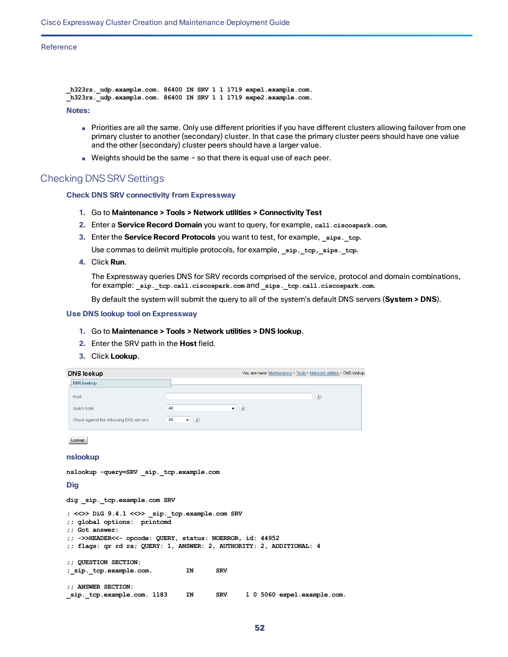```
_h323rs._udp.example.com. 86400 IN SRV 1 1 1719 expe1.example.com.
_h323rs._udp.example.com. 86400 IN SRV 1 1 1719 expe2.example.com.
Notes:
```
- Priorities are all the same. Only use different priorities if you have different clusters allowing failover from one primary cluster to another (secondary) cluster. In that case the primary cluster peers should have one value and the other (secondary) cluster peers should have a larger value.
- Weights should be the same so that there is equal use of each peer.

### Checking DNS SRV Settings

#### **Check DNS SRV connectivity from Expressway**

- **1.** Go to **Maintenance > Tools > Network utilities > Connectivity Test**
- **2.** Enter a **Service Record Domain** you want to query, for example, **call.ciscospark.com**.
- **3.** Enter the **Service Record Protocols** you want to test, for example, **\_sips.\_tcp**.

Use commas to delimit multiple protocols, for example, **\_sip.\_tcp,\_sips.\_tcp**.

**4.** Click **Run**.

The Expressway queries DNS for SRV records comprised of the service, protocol and domain combinations, for example: **\_sip.\_tcp.call.ciscospark.com** and **\_sips.\_tcp.call.ciscospark.com**.

By default the system will submit the query to all of the system's default DNS servers (**System > DNS**).

#### **Use DNS lookup tool on Expressway**

- **1.** Go to **Maintenance > Tools > Network utilities > DNS lookup**.
- **2.** Enter the SRV path in the **Host** field.
- **3.** Click **Lookup**.

| DNS lookup                              | You are here: Maintenance ▶ Tools ▶ Network utilities ▶ DNS lookup |
|-----------------------------------------|--------------------------------------------------------------------|
| <b>DNS lookup</b>                       |                                                                    |
| Host                                    |                                                                    |
| Query type                              | $\bullet$ (i)<br>All                                               |
| Check against the following DNS servers | $ (i)$<br>All                                                      |

Lookup

#### **nslookup**

```
nslookup -query=SRV _sip._tcp.example.com
```
**Dig**

**dig \_sip.\_tcp.example.com SRV**

```
; <<>> DiG 9.4.1 <<>> _sip._tcp.example.com SRV
;; global options: printcmd
;; Got answer:
;; ->>HEADER<<- opcode: QUERY, status: NOERROR, id: 44952
;; flags: qr rd ra; QUERY: 1, ANSWER: 2, AUTHORITY: 2, ADDITIONAL: 4
;; QUESTION SECTION:
;_sip._tcp.example.com. IN SRV
;; ANSWER SECTION:
_sip._tcp.example.com. 1183 IN SRV 1 0 5060 expe1.example.com.
```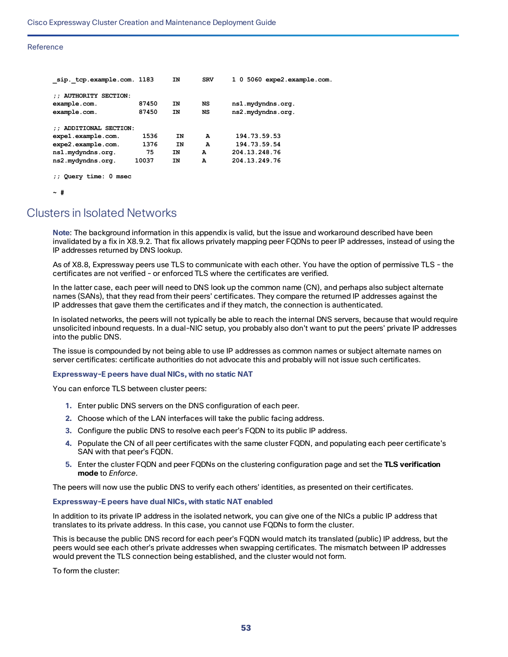| sip. tcp.example.com. 1183            |       | ΙN | <b>SRV</b> | 1 0 5060 expe2.example.com. |
|---------------------------------------|-------|----|------------|-----------------------------|
| <b>AUTHORITY SECTION:</b><br>$\cdots$ |       |    |            |                             |
| example.com.                          | 87450 | ΙN | NS         | ns1.mydyndns.org.           |
| example.com.                          | 87450 | ΙN | NS         | ns2.mydyndns.org.           |
| ADDITIONAL SECTION:                   |       |    |            |                             |
| expel.example.com.                    | 1536  | ΙN | А          | 194.73.59.53                |
| expe2.example.com.                    | 1376  | ΙN | A          | 194.73.59.54                |
| ns1.mydyndns.org.                     | 75    | ΙN | А          | 204.13.248.76               |
| ns2.mydyndns.org.                     | 10037 | ΙN | A          | 204.13.249.76               |
|                                       |       |    |            |                             |

**;; Query time: 0 msec**

**~ #**

# <span id="page-52-0"></span>Clusters in Isolated Networks

**Note**: The background information in this appendix is valid, but the issue and workaround described have been invalidated by a fix in X8.9.2. That fix allows privately mapping peer FQDNs to peer IP addresses, instead of using the IP addresses returned by DNS lookup.

As of X8.8, Expressway peers use TLS to communicate with each other. You have the option of permissive TLS - the certificates are not verified - or enforced TLS where the certificates are verified.

In the latter case, each peer will need to DNS look up the common name (CN), and perhaps also subject alternate names (SANs), that they read from their peers' certificates. They compare the returned IP addresses against the IP addresses that gave them the certificates and if they match, the connection is authenticated.

In isolated networks, the peers will not typically be able to reach the internal DNS servers, because that would require unsolicited inbound requests. In a dual-NIC setup, you probably also don't want to put the peers' private IP addresses into the public DNS.

The issue is compounded by not being able to use IP addresses as common names or subject alternate names on server certificates: certificate authorities do not advocate this and probably will not issue such certificates.

#### **Expressway-E peers have dual NICs, with no static NAT**

You can enforce TLS between cluster peers:

- **1.** Enter public DNS servers on the DNS configuration of each peer.
- **2.** Choose which of the LAN interfaces will take the public facing address.
- **3.** Configure the public DNS to resolve each peer's FQDN to its public IP address.
- **4.** Populate the CN of all peer certificates with the same cluster FQDN, and populating each peer certificate's SAN with that peer's FQDN.
- **5.** Enter the cluster FQDN and peer FQDNs on the clustering configuration page and set the **TLS verification mode** to *Enforce*.

The peers will now use the public DNS to verify each others' identities, as presented on their certificates.

#### **Expressway-E peers have dual NICs, with static NAT enabled**

In addition to its private IP address in the isolated network, you can give one of the NICs a public IP address that translates to its private address. In this case, you cannot use FQDNs to form the cluster.

This is because the public DNS record for each peer's FQDN would match its translated (public) IP address, but the peers would see each other's private addresses when swapping certificates. The mismatch between IP addresses would prevent the TLS connection being established, and the cluster would not form.

To form the cluster: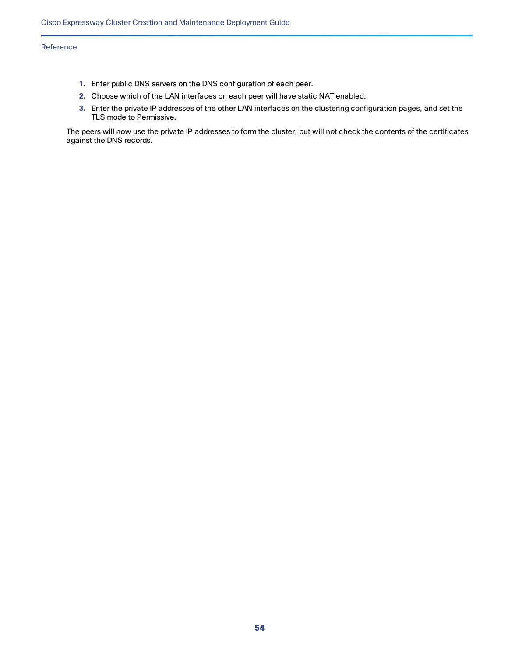- **1.** Enter public DNS servers on the DNS configuration of each peer.
- **2.** Choose which of the LAN interfaces on each peer will have static NAT enabled.
- **3.** Enter the private IP addresses of the other LAN interfaces on the clustering configuration pages, and set the TLS mode to Permissive.

The peers will now use the private IP addresses to form the cluster, but will not check the contents of the certificates against the DNS records.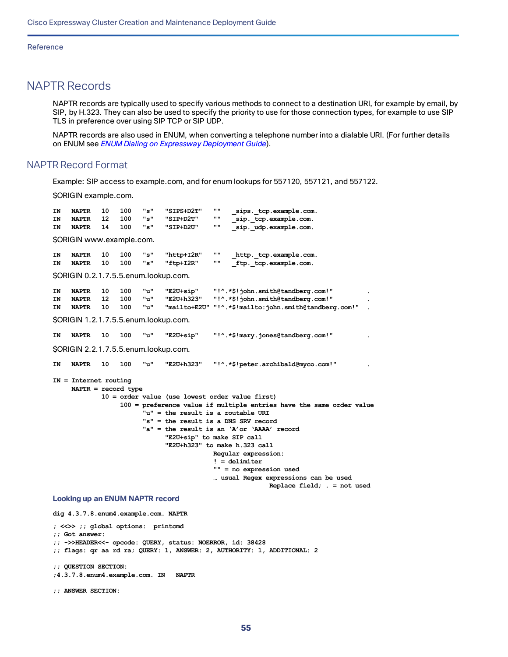# <span id="page-54-0"></span>NAPTR Records

NAPTR records are typically used to specify various methods to connect to a destination URI, for example by email, by SIP, by H.323. They can also be used to specify the priority to use for those connection types, for example to use SIP TLS in preference over using SIP TCP or SIP UDP.

NAPTR records are also used in ENUM, when converting a telephone number into a dialable URI. (For further details on ENUM see *ENUM Dialing on [Expressway](http://www.cisco.com/en/US/products/ps11337/products_installation_and_configuration_guides_list.html) Deployment Guide*).

### NAPTR Record Format

Example: SIP access to example.com, and for enum lookups for 557120, 557121, and 557122.

\$ORIGIN example.com.

| ΤN | <b>NAPTR</b>                          | 10 | 100 | "s"   | "SIPS+D2T" | $\bf{H}$<br>sips. tcp.example.com.                                   |
|----|---------------------------------------|----|-----|-------|------------|----------------------------------------------------------------------|
| IN | <b>NAPTR</b>                          | 12 | 100 | "s"   | "SIP+D2T"  | H H<br>sip. tcp.example.com.                                         |
| ΤN | <b>NAPTR</b>                          | 14 | 100 | "s"   | "SIP+D2U"  | H H<br>sip. udp.example.com.                                         |
|    | SORIGIN www.example.com.              |    |     |       |            |                                                                      |
| ΙN | <b>NAPTR</b>                          | 10 | 100 | "s"   | "http+I2R" | H H<br>http. tcp.example.com.                                        |
| IN | <b>NAPTR</b>                          | 10 | 100 | "s"   | "ftp+I2R"  | 11 II<br>ftp. tcp.example.com.                                       |
|    | SORIGIN 0.2.1.7.5.5.enum.lookup.com.  |    |     |       |            |                                                                      |
| ΙN | <b>NAPTR</b>                          | 10 | 100 | "u"   | "E2U+sip"  | "!^.*\$!john.smith@tandberg.com!"                                    |
| ΙN | <b>NAPTR</b>                          | 12 | 100 | "u"   | "E2U+h323" | "!^.*\$!john.smith@tandberg.com!"                                    |
| IN | <b>NAPTR</b>                          | 10 | 100 | יי טי |            | "mailto+E2U" "!^.*\$!mailto:john.smith@tandberg.com!"                |
|    | \$ORIGIN 1.2.1.7.5.5.enum.lookup.com. |    |     |       |            |                                                                      |
| ΙN | <b>NAPTR</b>                          | 10 | 100 | "u"   | "E2U+sip"  | "!^.*\$!mary.jones@tandberg.com!"                                    |
|    | SORIGIN 2.2.1.7.5.5.enum.lookup.com.  |    |     |       |            |                                                                      |
| ΤN | <b>NAPTR</b>                          | 10 | 100 | "u"   | "E2U+h323" | "!^.*\$!peter.archibald@myco.com!"                                   |
|    | $IN = Internet routine$               |    |     |       |            |                                                                      |
|    | $NAPTR = record type$                 |    |     |       |            |                                                                      |
|    |                                       |    |     |       |            | $10 = \text{order value}$ (use lowest order value first)             |
|    |                                       |    |     |       |            | 100 = preference value if multiple entries have the same order value |
|    |                                       |    |     |       |            | "u" = the result is a routable URI                                   |
|    |                                       |    |     |       |            | " $s$ " = the result is a DNS SRV record                             |
|    |                                       |    |     |       |            | "a" = the result is an 'A'or 'AAAA' record                           |
|    |                                       |    |     |       |            | "E2U+sip" to make SIP call                                           |
|    |                                       |    |     |       |            | "E2U+h323" to make h.323 call                                        |
|    |                                       |    |     |       |            | Regular expression:                                                  |
|    |                                       |    |     |       |            | $! =$ delimiter                                                      |
|    |                                       |    |     |       |            | "" = no expression used                                              |
|    |                                       |    |     |       |            | usual Regex expressions can be used                                  |
|    |                                       |    |     |       |            | Replace field; $=$ not used                                          |

# **Looking up an ENUM NAPTR record dig 4.3.7.8.enum4.example.com. NAPTR**

**; <<>> ;; global options: printcmd ;; Got answer: ;; ->>HEADER<<- opcode: QUERY, status: NOERROR, id: 38428 ;; flags: qr aa rd ra; QUERY: 1, ANSWER: 2, AUTHORITY: 1, ADDITIONAL: 2 ;; QUESTION SECTION: ;4.3.7.8.enum4.example.com. IN NAPTR**

**;; ANSWER SECTION:**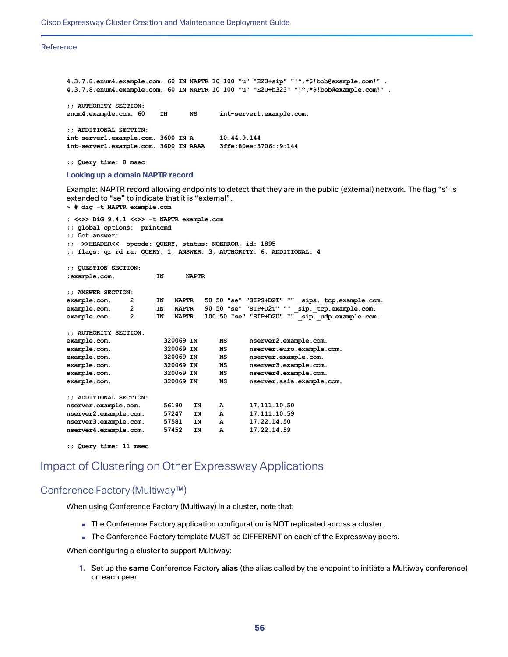```
4.3.7.8.enum4.example.com. 60 IN NAPTR 10 100 "u" "E2U+sip" "!^.*$!bob@example.com!" .
4.3.7.8.enum4.example.com. 60 IN NAPTR 10 100 "u" "E2U+h323" "!^.*$!bob@example.com!" .
;; AUTHORITY SECTION:
enum4.example.com. 60 IN NS int-server1.example.com.
;; ADDITIONAL SECTION:
int-server1.example.com. 3600 IN A 10.44.9.144
int-server1.example.com. 3600 IN AAAA 3ffe:80ee:3706::9:144
```
**;; Query time: 0 msec**

#### **Looking up a domain NAPTR record**

**~ # dig -t NAPTR example.com**

Example: NAPTR record allowing endpoints to detect that they are in the public (external) network. The flag "s" is extended to "se" to indicate that it is "external".

**; <<>> DiG 9.4.1 <<>> -t NAPTR example.com ;; global options: printcmd ;; Got answer: ;; ->>HEADER<<- opcode: QUERY, status: NOERROR, id: 1895 ;; flags: qr rd ra; QUERY: 1, ANSWER: 3, AUTHORITY: 6, ADDITIONAL: 4 ;; QUESTION SECTION: ;example.com. IN NAPTR ;; ANSWER SECTION: example.com. 2 IN NAPTR 50 50 "se" "SIPS+D2T" "" \_sips.\_tcp.example.com. example.com. 2 IN NAPTR 90 50 "se" "SIP+D2T" "" \_sip.\_tcp.example.com. example.com. 2 IN NAPTR 100 50 "se" "SIP+D2U" "" \_sip.\_udp.example.com. ;; AUTHORITY SECTION: example.com. 320069 IN NS nserver2.example.com. example.com. 320069 IN NS nserver.euro.example.com. example.com. 320069 IN NS nserver.example.com. example.com. 320069 IN NS nserver3.example.com. example.com. 320069 IN NS nserver4.example.com. example.com. 320069 IN NS nserver.asia.example.com. ;; ADDITIONAL SECTION: nserver.example.com. 56190 IN A 17.111.10.50 nserver2.example.com. 57247 IN A 17.111.10.59 nserver3.example.com. 57581 IN A 17.22.14.50 nserver4.example.com. 57452 IN A 17.22.14.59**

**;; Query time: 11 msec**

# <span id="page-55-0"></span>Impact of Clustering on Other Expressway Applications

### Conference Factory (Multiway™)

When using Conference Factory (Multiway) in a cluster, note that:

- The Conference Factory application configuration is NOT replicated across a cluster.
- The Conference Factory template MUST be DIFFERENT on each of the Expressway peers.

When configuring a cluster to support Multiway:

**1.** Set up the **same** Conference Factory **alias** (the alias called by the endpoint to initiate a Multiway conference) on each peer.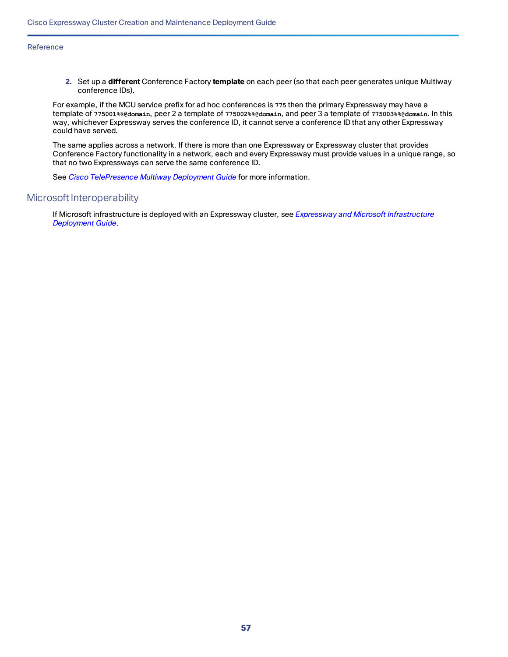**2.** Set up a **different** Conference Factory **template** on each peer (so that each peer generates unique Multiway conference IDs).

For example, if the MCU service prefix for ad hoc conferences is **775** then the primary Expressway may have a template of **775001%%@domain**, peer 2 a template of **775002%%@domain**, and peer 3 a template of **775003%%@domain**. In this way, whichever Expressway serves the conference ID, it cannot serve a conference ID that any other Expressway could have served.

The same applies across a network. If there is more than one Expressway or Expressway cluster that provides Conference Factory functionality in a network, each and every Expressway must provide values in a unique range, so that no two Expressways can serve the same conference ID.

See *Cisco [TelePresence](http://www.cisco.com/en/US/products/ps11337/products_installation_and_configuration_guides_list.html) Multiway Deployment Guide* for more information.

### Microsoft Interoperability

If Microsoft infrastructure is deployed with an Expressway cluster, see *Expressway and Microsoft [Infrastructure](http://www.cisco.com/en/US/products/ps11337/products_installation_and_configuration_guides_list.html) [Deployment](http://www.cisco.com/en/US/products/ps11337/products_installation_and_configuration_guides_list.html) Guide*.